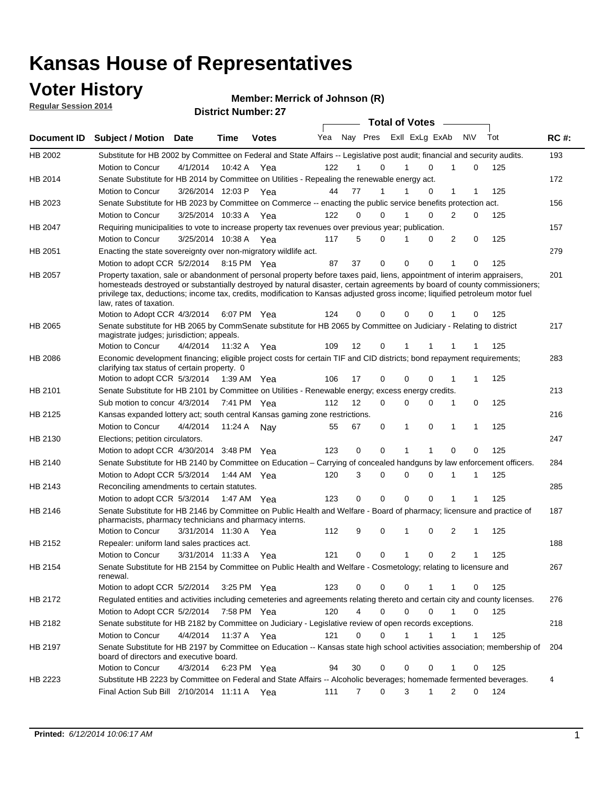### **Voter History**

**Regular Session 2014**

#### **Merrick of Johnson (R)**

|             |                                                                                                                                                                                                                                                                                                                                                                                                                  |                       |             | $P$ $\sim$   |     |                   |             | <b>Total of Votes</b> |                  |                   |     |             |
|-------------|------------------------------------------------------------------------------------------------------------------------------------------------------------------------------------------------------------------------------------------------------------------------------------------------------------------------------------------------------------------------------------------------------------------|-----------------------|-------------|--------------|-----|-------------------|-------------|-----------------------|------------------|-------------------|-----|-------------|
| Document ID | <b>Subject / Motion Date</b>                                                                                                                                                                                                                                                                                                                                                                                     |                       | <b>Time</b> | <b>Votes</b> | Yea |                   | Nay Pres    | Exll ExLg ExAb        |                  | <b>NV</b>         | Tot | <b>RC#:</b> |
| HB 2002     | Substitute for HB 2002 by Committee on Federal and State Affairs -- Legislative post audit; financial and security audits.                                                                                                                                                                                                                                                                                       |                       |             |              |     |                   |             |                       |                  |                   |     | 193         |
|             | Motion to Concur                                                                                                                                                                                                                                                                                                                                                                                                 | 4/1/2014              | 10:42 A     | Yea          | 122 |                   | $\Omega$    |                       | 0<br>1           | $\Omega$          | 125 |             |
| HB 2014     | Senate Substitute for HB 2014 by Committee on Utilities - Repealing the renewable energy act.                                                                                                                                                                                                                                                                                                                    |                       |             |              |     |                   |             |                       |                  |                   |     | 172         |
|             | Motion to Concur                                                                                                                                                                                                                                                                                                                                                                                                 | 3/26/2014 12:03 P Yea |             |              | 44  | 77                | 1           |                       | 0                | 1<br>1            | 125 |             |
| HB 2023     | Senate Substitute for HB 2023 by Committee on Commerce -- enacting the public service benefits protection act.                                                                                                                                                                                                                                                                                                   |                       |             |              |     |                   |             |                       |                  |                   |     | 156         |
|             | Motion to Concur                                                                                                                                                                                                                                                                                                                                                                                                 | 3/25/2014 10:33 A Yea |             |              | 122 | 0                 | 0           | 1                     | 0                | 2<br>0            | 125 |             |
| HB 2047     | Requiring municipalities to vote to increase property tax revenues over previous year; publication.                                                                                                                                                                                                                                                                                                              |                       |             |              |     |                   |             |                       |                  |                   |     | 157         |
|             | Motion to Concur                                                                                                                                                                                                                                                                                                                                                                                                 | 3/25/2014 10:38 A Yea |             |              | 117 | 5                 | $\Omega$    |                       | 0                | 2<br>0            | 125 |             |
| HB 2051     | Enacting the state sovereignty over non-migratory wildlife act.                                                                                                                                                                                                                                                                                                                                                  |                       |             |              |     |                   |             |                       |                  |                   |     | 279         |
|             | Motion to adopt CCR 5/2/2014 8:15 PM Yea                                                                                                                                                                                                                                                                                                                                                                         |                       |             |              | 87  | 37                | $\mathbf 0$ | $\Omega$              | 0<br>1           | 0                 | 125 |             |
| HB 2057     | Property taxation, sale or abandonment of personal property before taxes paid, liens, appointment of interim appraisers,<br>homesteads destroyed or substantially destroyed by natural disaster, certain agreements by board of county commissioners;<br>privilege tax, deductions; income tax, credits, modification to Kansas adjusted gross income; liquified petroleum motor fuel<br>law, rates of taxation. |                       |             |              |     |                   |             |                       |                  |                   |     | 201         |
|             | Motion to Adopt CCR 4/3/2014                                                                                                                                                                                                                                                                                                                                                                                     |                       |             | 6:07 PM Yea  | 124 | 0                 | 0           | 0                     | 0                | 0                 | 125 |             |
| HB 2065     | Senate substitute for HB 2065 by CommSenate substitute for HB 2065 by Committee on Judiciary - Relating to district<br>magistrate judges; jurisdiction; appeals.                                                                                                                                                                                                                                                 |                       |             |              |     |                   |             |                       |                  |                   |     | 217         |
|             | Motion to Concur                                                                                                                                                                                                                                                                                                                                                                                                 | 4/4/2014 11:32 A      |             | Yea          | 109 | $12 \overline{ }$ | 0           | 1                     | 1                | 1<br>1            | 125 |             |
| HB 2086     | Economic development financing; eligible project costs for certain TIF and CID districts; bond repayment requirements;<br>clarifying tax status of certain property. 0                                                                                                                                                                                                                                           |                       |             |              |     |                   |             |                       |                  |                   |     | 283         |
|             | Motion to adopt CCR 5/3/2014 1:39 AM Yea                                                                                                                                                                                                                                                                                                                                                                         |                       |             |              | 106 | 17                | 0           | $\Omega$              | 0<br>1           | 1                 | 125 |             |
| HB 2101     | Senate Substitute for HB 2101 by Committee on Utilities - Renewable energy; excess energy credits.                                                                                                                                                                                                                                                                                                               |                       |             |              |     |                   |             |                       |                  |                   |     | 213         |
|             | Sub motion to concur 4/3/2014                                                                                                                                                                                                                                                                                                                                                                                    |                       |             | 7:41 PM Yea  | 112 | 12                | 0           | 0                     | 0                | 1<br>0            | 125 |             |
| HB 2125     | Kansas expanded lottery act; south central Kansas gaming zone restrictions.                                                                                                                                                                                                                                                                                                                                      |                       |             |              |     |                   |             |                       |                  |                   |     | 216         |
|             | Motion to Concur                                                                                                                                                                                                                                                                                                                                                                                                 | 4/4/2014              | 11:24 A     | Nav          | 55  | 67                | 0           | 1                     | 0                | 1<br>$\mathbf{1}$ | 125 |             |
| HB 2130     | Elections; petition circulators.                                                                                                                                                                                                                                                                                                                                                                                 |                       |             |              |     |                   |             |                       |                  |                   |     | 247         |
|             | Motion to adopt CCR 4/30/2014 3:48 PM Yea                                                                                                                                                                                                                                                                                                                                                                        |                       |             |              | 123 | 0                 | 0           | 1                     | 1                | $\mathbf 0$<br>0  | 125 |             |
| HB 2140     | Senate Substitute for HB 2140 by Committee on Education - Carrying of concealed handguns by law enforcement officers.                                                                                                                                                                                                                                                                                            |                       |             |              |     |                   |             |                       |                  |                   |     | 284         |
|             | Motion to Adopt CCR 5/3/2014                                                                                                                                                                                                                                                                                                                                                                                     |                       | 1:44 AM Yea |              | 120 | 3                 | 0           | 0                     | $\mathbf 0$<br>1 | 1                 | 125 |             |
| HB 2143     | Reconciling amendments to certain statutes.                                                                                                                                                                                                                                                                                                                                                                      |                       |             |              |     |                   |             |                       |                  |                   |     | 285         |
|             | Motion to adopt CCR 5/3/2014 1:47 AM Yea                                                                                                                                                                                                                                                                                                                                                                         |                       |             |              | 123 | 0                 | 0           | $\Omega$              | 0                | 1                 | 125 |             |
| HB 2146     | Senate Substitute for HB 2146 by Committee on Public Health and Welfare - Board of pharmacy; licensure and practice of<br>pharmacists, pharmacy technicians and pharmacy interns.                                                                                                                                                                                                                                |                       |             |              |     |                   |             |                       |                  |                   |     | 187         |
|             | Motion to Concur                                                                                                                                                                                                                                                                                                                                                                                                 | 3/31/2014 11:30 A     |             | Yea          | 112 | 9                 | 0           | 1                     | 0                | 2<br>1            | 125 |             |
| HB 2152     | Repealer: uniform land sales practices act.                                                                                                                                                                                                                                                                                                                                                                      |                       |             |              |     |                   |             |                       |                  |                   |     | 188         |
|             | Motion to Concur                                                                                                                                                                                                                                                                                                                                                                                                 | 3/31/2014 11:33 A     |             | Yea          | 121 | 0                 | 0           | 1                     | 0                | 2<br>1            | 125 |             |
| HB 2154     | Senate Substitute for HB 2154 by Committee on Public Health and Welfare - Cosmetology; relating to licensure and<br>renewal.                                                                                                                                                                                                                                                                                     |                       |             |              |     |                   |             |                       |                  |                   |     | 267         |
|             | Motion to adopt CCR 5/2/2014                                                                                                                                                                                                                                                                                                                                                                                     |                       |             | 3:25 PM Yea  | 123 | 0                 | 0           | 0                     | 1                | 0<br>1            | 125 |             |
| HB 2172     | Regulated entities and activities including cemeteries and agreements relating thereto and certain city and county licenses.                                                                                                                                                                                                                                                                                     |                       |             |              |     |                   |             |                       |                  |                   |     | 276         |
|             | Motion to Adopt CCR 5/2/2014                                                                                                                                                                                                                                                                                                                                                                                     |                       |             | 7:58 PM Yea  | 120 | 4                 | $\mathbf 0$ | $\mathbf 0$           | $\Omega$         | 1<br>0            | 125 |             |
| HB 2182     | Senate substitute for HB 2182 by Committee on Judiciary - Legislative review of open records exceptions.                                                                                                                                                                                                                                                                                                         |                       |             |              |     |                   |             |                       |                  |                   |     | 218         |
|             | Motion to Concur                                                                                                                                                                                                                                                                                                                                                                                                 | 4/4/2014 11:37 A Yea  |             |              | 121 | $\Omega$          | $\mathbf 0$ | 1                     | 1                | $\mathbf{1}$<br>1 | 125 |             |
| HB 2197     | Senate Substitute for HB 2197 by Committee on Education -- Kansas state high school activities association; membership of<br>board of directors and executive board.                                                                                                                                                                                                                                             |                       |             |              |     |                   |             |                       |                  |                   |     | 204         |
|             | Motion to Concur                                                                                                                                                                                                                                                                                                                                                                                                 | 4/3/2014              |             | 6:23 PM Yea  | 94  | 30                | 0           | 0                     | 0                | $\mathbf 0$       | 125 |             |
| HB 2223     | Substitute HB 2223 by Committee on Federal and State Affairs -- Alcoholic beverages; homemade fermented beverages.                                                                                                                                                                                                                                                                                               |                       |             |              |     |                   |             |                       |                  |                   |     | 4           |
|             | Final Action Sub Bill 2/10/2014 11:11 A Yea                                                                                                                                                                                                                                                                                                                                                                      |                       |             |              | 111 | 7                 | 0           | 3                     | 1                | 2<br>$\Omega$     | 124 |             |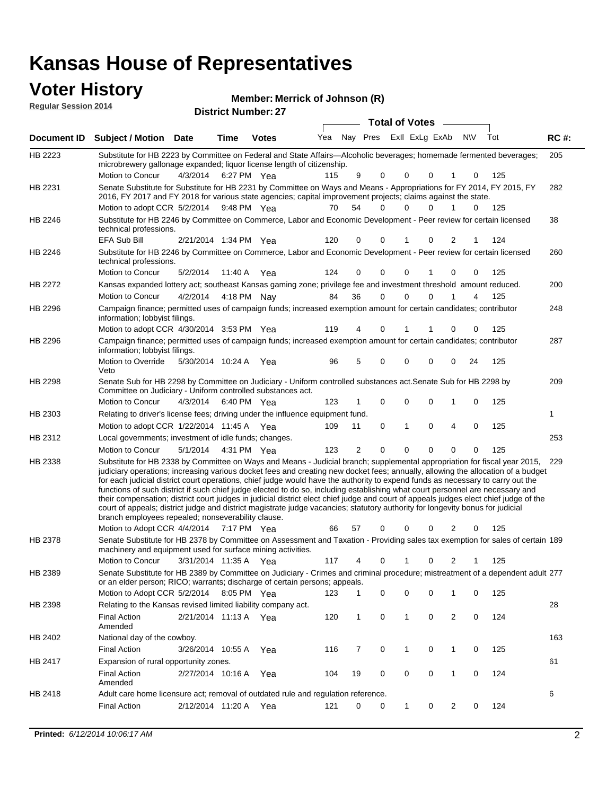## **Voter History Member:**

| <b>Voter History</b><br><b>Regular Session 2014</b> |                                                                                                                                                                                                                                        |                        |             |                            | Member: Merrick of Johnson (R) |          |                         |          |                       |          |           |            |             |
|-----------------------------------------------------|----------------------------------------------------------------------------------------------------------------------------------------------------------------------------------------------------------------------------------------|------------------------|-------------|----------------------------|--------------------------------|----------|-------------------------|----------|-----------------------|----------|-----------|------------|-------------|
|                                                     |                                                                                                                                                                                                                                        |                        |             | <b>District Number: 27</b> |                                |          |                         |          | <b>Total of Votes</b> |          |           |            |             |
| Document ID                                         | <b>Subject / Motion Date</b>                                                                                                                                                                                                           |                        | Time        | <b>Votes</b>               | Yea                            |          | Nay Pres ExII ExLg ExAb |          |                       |          | <b>NV</b> | Tot        | <b>RC#:</b> |
| HB 2223                                             | Substitute for HB 2223 by Committee on Federal and State Affairs—Alcoholic beverages; homemade fermented beverages;<br>microbrewery gallonage expanded; liquor license length of citizenship.                                          |                        |             |                            |                                |          |                         |          |                       |          |           |            | 205         |
|                                                     | Motion to Concur                                                                                                                                                                                                                       | 4/3/2014 6:27 PM Yea   |             |                            | 115                            |          | 9                       | 0<br>0   | 0                     |          | $\Omega$  | 125        |             |
| HB 2231                                             | Senate Substitute for Substitute for HB 2231 by Committee on Ways and Means - Appropriations for FY 2014, FY 2015, FY<br>2016, FY 2017 and FY 2018 for various state agencies; capital improvement projects; claims against the state. |                        |             |                            |                                |          |                         |          |                       |          |           |            | 282         |
|                                                     | Motion to adopt CCR 5/2/2014 9:48 PM Yea                                                                                                                                                                                               |                        |             |                            |                                | 54<br>70 |                         | 0        | $\Omega$<br>0         | 1        | $\Omega$  | 125        |             |
| HB 2246                                             | Substitute for HB 2246 by Committee on Commerce, Labor and Economic Development - Peer review for certain licensed<br>technical professions.                                                                                           |                        |             |                            |                                |          |                         |          |                       |          |           |            | 38          |
|                                                     | <b>EFA Sub Bill</b>                                                                                                                                                                                                                    | 2/21/2014 1:34 PM Yea  |             |                            | 120                            |          | 0                       | 0        | 0                     | 2        |           | 124        |             |
| HB 2246                                             | Substitute for HB 2246 by Committee on Commerce, Labor and Economic Development - Peer review for certain licensed<br>technical professions.                                                                                           |                        |             |                            |                                |          |                         |          |                       |          |           |            | 260         |
|                                                     | Motion to Concur                                                                                                                                                                                                                       | 5/2/2014               | 11:40 A Yea |                            | 124                            |          | $\Omega$<br>$\Omega$    | 0        | 1                     | $\Omega$ | $\Omega$  | 125        |             |
| <b>HB 2272</b>                                      | Kansas expanded lottery act; southeast Kansas gaming zone; privilege fee and investment threshold amount reduced.                                                                                                                      |                        |             |                            |                                |          |                         |          |                       |          |           |            | 200         |
|                                                     | Motion to Concur                                                                                                                                                                                                                       | 4/2/2014  4:18 PM  Nav |             |                            |                                | 36<br>84 |                         | 0<br>0   | 0                     |          | 4         | 125        |             |
| HB 2296                                             | Campaign finance; permitted uses of campaign funds; increased exemption amount for certain candidates; contributor<br>information; lobbyist filings.                                                                                   |                        |             |                            |                                |          |                         |          |                       |          |           |            | 248         |
|                                                     | Motion to adopt CCR 4/30/2014 3:53 PM Yea                                                                                                                                                                                              |                        |             |                            | 119                            |          | 4                       | $\Omega$ | 1                     | 0        | $\Omega$  | 125        |             |
| HB 2296                                             | Campaign finance; permitted uses of campaign funds; increased exemption amount for certain candidates; contributor<br>information; lobbyist filings.                                                                                   |                        |             |                            |                                |          |                         |          |                       |          |           |            | 287         |
|                                                     | Motion to Override<br>Veto                                                                                                                                                                                                             | 5/30/2014 10:24 A Yea  |             |                            |                                | 96       | 5<br>0                  | 0        | 0                     | 0        | 24        | 125        |             |
| HB 2298                                             | Senate Sub for HB 2298 by Committee on Judiciary - Uniform controlled substances act. Senate Sub for HB 2298 by<br>Committee on Judiciary - Uniform controlled substances act.                                                         |                        |             |                            |                                |          |                         |          |                       |          |           |            | 209         |
|                                                     | Motion to Concur                                                                                                                                                                                                                       | $4/3/2014$ 6:40 PM Yea |             |                            |                                |          | 123 1 0 0 0 1           |          |                       |          |           | $0 \t 125$ |             |

|         | Motion to Concur<br>4/3/2014                                                                                                                                                                                                                                                                                                                                                                                                                                                                                                                                                                                                                                                                                                                                                                                                                                                                                        | 6:40 PM           | Yea | 123 |               | $\Omega$<br>0 | 0            |          | 0        | 125 |     |
|---------|---------------------------------------------------------------------------------------------------------------------------------------------------------------------------------------------------------------------------------------------------------------------------------------------------------------------------------------------------------------------------------------------------------------------------------------------------------------------------------------------------------------------------------------------------------------------------------------------------------------------------------------------------------------------------------------------------------------------------------------------------------------------------------------------------------------------------------------------------------------------------------------------------------------------|-------------------|-----|-----|---------------|---------------|--------------|----------|----------|-----|-----|
| HB 2303 | Relating to driver's license fees; driving under the influence equipment fund.                                                                                                                                                                                                                                                                                                                                                                                                                                                                                                                                                                                                                                                                                                                                                                                                                                      |                   |     |     |               |               |              |          |          |     |     |
|         | Motion to adopt CCR 1/22/2014 11:45 A Yea                                                                                                                                                                                                                                                                                                                                                                                                                                                                                                                                                                                                                                                                                                                                                                                                                                                                           |                   |     | 109 | 11            | $\Omega$      | $\Omega$     | 4        | $\Omega$ | 125 |     |
| HB 2312 | Local governments; investment of idle funds; changes.                                                                                                                                                                                                                                                                                                                                                                                                                                                                                                                                                                                                                                                                                                                                                                                                                                                               |                   |     |     |               |               |              |          |          |     | 253 |
|         | Motion to Concur<br>5/1/2014                                                                                                                                                                                                                                                                                                                                                                                                                                                                                                                                                                                                                                                                                                                                                                                                                                                                                        | 4:31 PM Yea       |     | 123 | $\mathcal{P}$ | 0             | <sup>0</sup> | $\Omega$ |          | 125 |     |
| HB 2338 | Substitute for HB 2338 by Committee on Ways and Means - Judicial branch; supplemental appropriation for fiscal year 2015, 229<br>judiciary operations; increasing various docket fees and creating new docket fees; annually, allowing the allocation of a budget<br>for each judicial district court operations, chief judge would have the authority to expend funds as necessary to carry out the<br>functions of such district if such chief judge elected to do so, including establishing what court personnel are necessary and<br>their compensation; district court judges in judicial district elect chief judge and court of appeals judges elect chief judge of the<br>court of appeals; district judge and district magistrate judge vacancies; statutory authority for longevity bonus for judicial<br>branch employees repealed; nonseverability clause.<br>Motion to Adopt CCR 4/4/2014 7:17 PM Yea |                   |     | 66  | 57            | $\Omega$<br>0 | 0            | 2        | 0        | 125 |     |
| HB 2378 | Senate Substitute for HB 2378 by Committee on Assessment and Taxation - Providing sales tax exemption for sales of certain 189<br>machinery and equipment used for surface mining activities.<br>Motion to Concur                                                                                                                                                                                                                                                                                                                                                                                                                                                                                                                                                                                                                                                                                                   | 3/31/2014 11:35 A | Yea | 117 | 4             |               |              |          |          | 125 |     |
| HB 2389 | Senate Substitute for HB 2389 by Committee on Judiciary - Crimes and criminal procedure; mistreatment of a dependent adult 277<br>or an elder person; RICO; warrants; discharge of certain persons; appeals.                                                                                                                                                                                                                                                                                                                                                                                                                                                                                                                                                                                                                                                                                                        |                   |     |     |               |               |              |          |          |     |     |

|         | 0 di eluci personi, KiCO, wanants, ulschange or centali persons, appeals.         |                   |             |     |     |    |          |          |          |   |          |     |     |
|---------|-----------------------------------------------------------------------------------|-------------------|-------------|-----|-----|----|----------|----------|----------|---|----------|-----|-----|
|         | Motion to Adopt CCR 5/2/2014                                                      |                   | 8:05 PM Yea |     | 123 |    | 0        | $\Omega$ | $\Omega$ |   | 0        | 125 |     |
| HB 2398 | Relating to the Kansas revised limited liability company act.                     |                   |             |     |     |    |          |          |          |   |          |     | 28  |
|         | <b>Final Action</b><br>Amended                                                    | 2/21/2014 11:13 A |             | Yea | 120 |    | 0        |          | $\Omega$ | 2 | $\Omega$ | 124 |     |
| HB 2402 | National day of the cowboy.                                                       |                   |             |     |     |    |          |          |          |   |          |     | 163 |
|         | <b>Final Action</b>                                                               | 3/26/2014         | 10.55 A     | Yea | 116 |    | $\Omega$ |          | $\Omega$ |   | $\Omega$ | 125 |     |
| HB 2417 | Expansion of rural opportunity zones.                                             |                   |             |     |     |    |          |          |          |   |          |     | 61  |
|         | <b>Final Action</b><br>Amended                                                    | 2/27/2014         | 10:16 A     | Yea | 104 | 19 | $\Omega$ | $\Omega$ | $\Omega$ |   | $\Omega$ | 124 |     |
| HB 2418 | Adult care home licensure act; removal of outdated rule and regulation reference. |                   |             |     |     |    |          |          |          |   |          |     | 6   |
|         | <b>Final Action</b>                                                               | 2/12/2014         | 11:20 A     | Yea | 121 | 0  | $\Omega$ |          | 0        |   | $\Omega$ | 124 |     |
|         |                                                                                   |                   |             |     |     |    |          |          |          |   |          |     |     |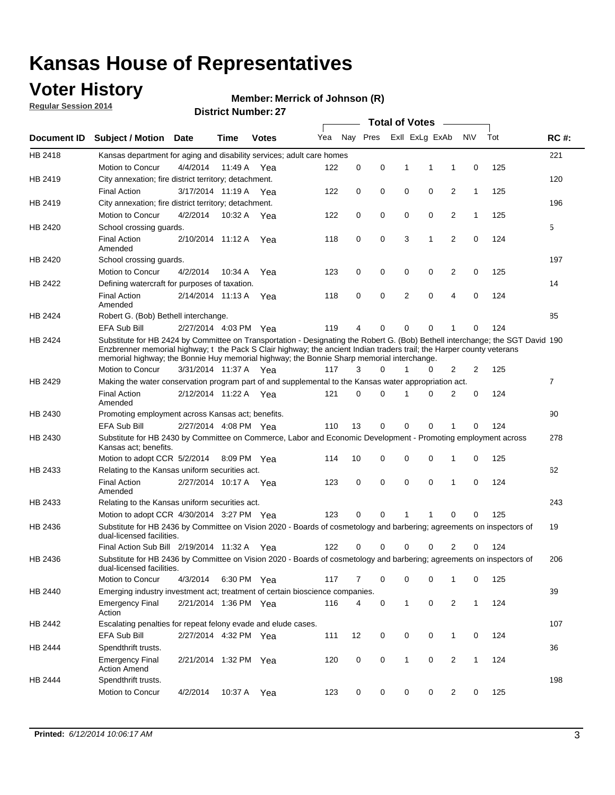## **Voter History**

**Regular Session 2014**

#### **Merrick of Johnson (R)**

|             |                                                                                                                                                                                                                                                                                                                                                      |                       |         | ו אווווער וישוווער <i>ב</i> ו |     |             |   |              | <b>Total of Votes</b>   | $\sim$         |              |     |                |
|-------------|------------------------------------------------------------------------------------------------------------------------------------------------------------------------------------------------------------------------------------------------------------------------------------------------------------------------------------------------------|-----------------------|---------|-------------------------------|-----|-------------|---|--------------|-------------------------|----------------|--------------|-----|----------------|
| Document ID | <b>Subject / Motion Date</b>                                                                                                                                                                                                                                                                                                                         |                       | Time    | <b>Votes</b>                  | Yea |             |   |              | Nay Pres ExII ExLg ExAb |                | <b>NV</b>    | Tot | <b>RC#:</b>    |
| HB 2418     | Kansas department for aging and disability services; adult care homes                                                                                                                                                                                                                                                                                |                       |         |                               |     |             |   |              |                         |                |              |     | 221            |
|             | Motion to Concur                                                                                                                                                                                                                                                                                                                                     | 4/4/2014              | 11:49 A | Yea                           | 122 | 0           | 0 | 1            | 1                       | 1              | 0            | 125 |                |
| HB 2419     | City annexation; fire district territory; detachment.                                                                                                                                                                                                                                                                                                |                       |         |                               |     |             |   |              |                         |                |              |     | 120            |
|             | <b>Final Action</b>                                                                                                                                                                                                                                                                                                                                  | 3/17/2014 11:19 A Yea |         |                               | 122 | 0           | 0 | $\mathbf 0$  | 0                       | $\overline{2}$ | $\mathbf{1}$ | 125 |                |
| HB 2419     | City annexation; fire district territory; detachment.                                                                                                                                                                                                                                                                                                |                       |         |                               |     |             |   |              |                         |                |              |     | 196            |
|             | Motion to Concur                                                                                                                                                                                                                                                                                                                                     | 4/2/2014              |         | 10:32 A Yea                   | 122 | 0           | 0 | 0            | 0                       | 2              | $\mathbf{1}$ | 125 |                |
| HB 2420     | School crossing quards.                                                                                                                                                                                                                                                                                                                              |                       |         |                               |     |             |   |              |                         |                |              |     | 5              |
|             | <b>Final Action</b><br>Amended                                                                                                                                                                                                                                                                                                                       | 2/10/2014 11:12 A     |         | Yea                           | 118 | 0           | 0 | 3            | 1                       | 2              | 0            | 124 |                |
| HB 2420     | School crossing guards.                                                                                                                                                                                                                                                                                                                              |                       |         |                               |     |             |   |              |                         |                |              |     | 197            |
|             | Motion to Concur                                                                                                                                                                                                                                                                                                                                     | 4/2/2014              | 10:34 A | Yea                           | 123 | 0           | 0 | 0            | 0                       | 2              | 0            | 125 |                |
| HB 2422     | Defining watercraft for purposes of taxation.                                                                                                                                                                                                                                                                                                        |                       |         |                               |     |             |   |              |                         |                |              |     | 14             |
|             | <b>Final Action</b><br>Amended                                                                                                                                                                                                                                                                                                                       | 2/14/2014 11:13 A     |         | Yea                           | 118 | 0           | 0 | 2            | 0                       | 4              | $\mathbf 0$  | 124 |                |
| HB 2424     | Robert G. (Bob) Bethell interchange.                                                                                                                                                                                                                                                                                                                 |                       |         |                               |     |             |   |              |                         |                |              |     | 85             |
|             | <b>EFA Sub Bill</b>                                                                                                                                                                                                                                                                                                                                  | 2/27/2014 4:03 PM Yea |         |                               | 119 | 4           | 0 | 0            | 0                       | 1              | 0            | 124 |                |
| HB 2424     | Substitute for HB 2424 by Committee on Transportation - Designating the Robert G. (Bob) Bethell interchange; the SGT David 190<br>Enzbrenner memorial highway; t the Pack S Clair highway; the ancient Indian traders trail; the Harper county veterans<br>memorial highway; the Bonnie Huy memorial highway; the Bonnie Sharp memorial interchange. |                       |         |                               |     |             |   |              |                         |                |              |     |                |
|             | Motion to Concur                                                                                                                                                                                                                                                                                                                                     | 3/31/2014 11:37 A     |         | Yea                           | 117 | 3           | 0 | 1            | 0                       | 2              | 2            | 125 |                |
| HB 2429     | Making the water conservation program part of and supplemental to the Kansas water appropriation act.                                                                                                                                                                                                                                                |                       |         |                               |     |             |   |              |                         |                |              |     | $\overline{7}$ |
|             | <b>Final Action</b><br>Amended                                                                                                                                                                                                                                                                                                                       | 2/12/2014 11:22 A     |         | Yea                           | 121 | $\mathbf 0$ | 0 | 1            | 0                       | $\overline{2}$ | 0            | 124 |                |
| HB 2430     | Promoting employment across Kansas act; benefits.                                                                                                                                                                                                                                                                                                    |                       |         |                               |     |             |   |              |                         |                |              |     | 90             |
|             | EFA Sub Bill                                                                                                                                                                                                                                                                                                                                         | 2/27/2014 4:08 PM Yea |         |                               | 110 | 13          | 0 | 0            | 0                       | 1              | 0            | 124 |                |
| HB 2430     | Substitute for HB 2430 by Committee on Commerce, Labor and Economic Development - Promoting employment across<br>Kansas act; benefits.                                                                                                                                                                                                               |                       |         |                               |     |             |   |              |                         |                |              |     | 278            |
|             | Motion to adopt CCR 5/2/2014 8:09 PM Yea                                                                                                                                                                                                                                                                                                             |                       |         |                               | 114 | 10          | 0 | 0            | 0                       | 1              | $\mathbf 0$  | 125 |                |
| HB 2433     | Relating to the Kansas uniform securities act.                                                                                                                                                                                                                                                                                                       |                       |         |                               |     |             |   |              |                         |                |              |     | 62             |
|             | <b>Final Action</b><br>Amended                                                                                                                                                                                                                                                                                                                       | 2/27/2014 10:17 A Yea |         |                               | 123 | 0           | 0 | $\mathbf 0$  | $\mathbf 0$             | 1              | $\mathbf 0$  | 124 |                |
| HB 2433     | Relating to the Kansas uniform securities act.                                                                                                                                                                                                                                                                                                       |                       |         |                               |     |             |   |              |                         |                |              |     | 243            |
|             | Motion to adopt CCR 4/30/2014 3:27 PM Yea                                                                                                                                                                                                                                                                                                            |                       |         |                               | 123 | 0           | 0 | 1            | 1                       | 0              | 0            | 125 |                |
| HB 2436     | Substitute for HB 2436 by Committee on Vision 2020 - Boards of cosmetology and barbering; agreements on inspectors of<br>dual-licensed facilities.                                                                                                                                                                                                   |                       |         |                               |     |             |   |              |                         |                |              |     | 19             |
|             | Final Action Sub Bill 2/19/2014 11:32 A                                                                                                                                                                                                                                                                                                              |                       |         | Yea                           | 122 | 0           | 0 | 0            | 0                       | 2              | 0            | 124 |                |
| HB 2436     | Substitute for HB 2436 by Committee on Vision 2020 - Boards of cosmetology and barbering; agreements on inspectors of<br>dual-licensed facilities.                                                                                                                                                                                                   |                       |         |                               |     |             |   |              |                         |                |              |     | 206            |
|             | Motion to Concur                                                                                                                                                                                                                                                                                                                                     | 4/3/2014              |         | 6:30 PM Yea                   | 117 | 7           | 0 | 0            | 0                       | 1              | 0            | 125 |                |
| HB 2440     | Emerging industry investment act; treatment of certain bioscience companies.                                                                                                                                                                                                                                                                         |                       |         |                               |     |             |   |              |                         |                |              |     | 39             |
|             | <b>Emergency Final</b><br>Action                                                                                                                                                                                                                                                                                                                     | 2/21/2014 1:36 PM Yea |         |                               | 116 | 4           | 0 | $\mathbf{1}$ | 0                       | 2              | $\mathbf{1}$ | 124 |                |
| HB 2442     | Escalating penalties for repeat felony evade and elude cases.                                                                                                                                                                                                                                                                                        |                       |         |                               |     |             |   |              |                         |                |              |     | 107            |
|             | EFA Sub Bill                                                                                                                                                                                                                                                                                                                                         | 2/27/2014 4:32 PM Yea |         |                               | 111 | 12          | 0 | 0            | 0                       | $\mathbf{1}$   | 0            | 124 |                |
| HB 2444     | Spendthrift trusts.                                                                                                                                                                                                                                                                                                                                  |                       |         |                               |     |             |   |              |                         |                |              |     | 36             |
|             | <b>Emergency Final</b><br><b>Action Amend</b>                                                                                                                                                                                                                                                                                                        | 2/21/2014 1:32 PM Yea |         |                               | 120 | 0           | 0 | $\mathbf{1}$ | 0                       | 2              | 1            | 124 |                |
| HB 2444     | Spendthrift trusts.                                                                                                                                                                                                                                                                                                                                  |                       |         |                               |     |             |   |              |                         |                |              |     | 198            |
|             | Motion to Concur                                                                                                                                                                                                                                                                                                                                     | 4/2/2014              | 10:37 A | Yea                           | 123 | 0           | 0 | 0            | 0                       | $\overline{2}$ | 0            | 125 |                |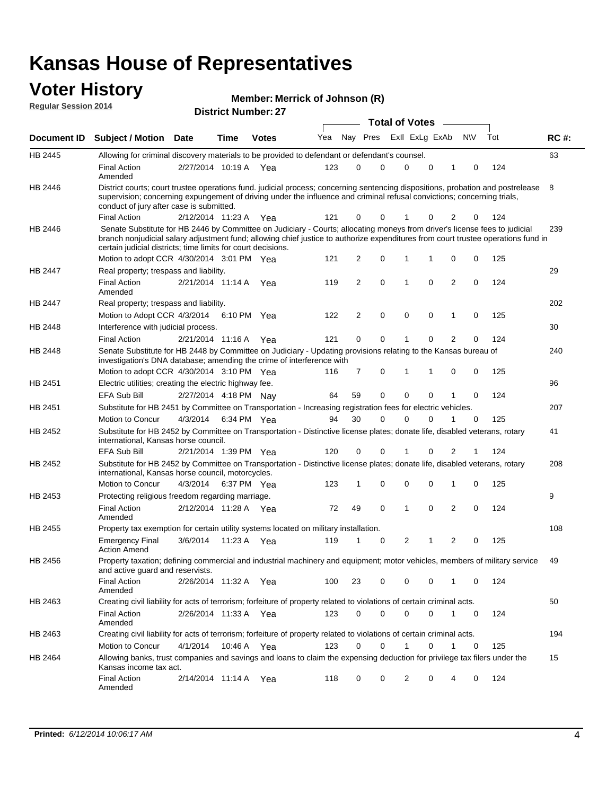#### **Voter History Regular Session 2014**

|  |  | Member: Merrick of Johnson (R) |  |
|--|--|--------------------------------|--|
|--|--|--------------------------------|--|

|                    |                                                                                                                                                                                                                                                                                                                                 |                       |      |              |     |    |          | <b>Total of Votes</b> |   |                |             |     |             |
|--------------------|---------------------------------------------------------------------------------------------------------------------------------------------------------------------------------------------------------------------------------------------------------------------------------------------------------------------------------|-----------------------|------|--------------|-----|----|----------|-----------------------|---|----------------|-------------|-----|-------------|
| <b>Document ID</b> | <b>Subject / Motion Date</b>                                                                                                                                                                                                                                                                                                    |                       | Time | <b>Votes</b> | Yea |    | Nay Pres | Exll ExLg ExAb        |   |                | <b>NV</b>   | Tot | <b>RC#:</b> |
| HB 2445            | Allowing for criminal discovery materials to be provided to defendant or defendant's counsel.                                                                                                                                                                                                                                   |                       |      |              |     |    |          |                       |   |                |             |     | 63          |
|                    | <b>Final Action</b><br>Amended                                                                                                                                                                                                                                                                                                  | 2/27/2014 10:19 A     |      | Yea          | 123 | 0  | 0        | 0                     | 0 | 1              | 0           | 124 |             |
| HB 2446            | District courts; court trustee operations fund. judicial process; concerning sentencing dispositions, probation and postrelease<br>supervision; concerning expungement of driving under the influence and criminal refusal convictions; concerning trials,<br>conduct of jury after case is submitted.                          |                       |      |              |     |    |          |                       |   |                |             |     | 8           |
|                    | <b>Final Action</b>                                                                                                                                                                                                                                                                                                             | 2/12/2014 11:23 A     |      | Yea          | 121 | 0  | 0        |                       | 0 | 2              | 0           | 124 |             |
| HB 2446            | Senate Substitute for HB 2446 by Committee on Judiciary - Courts; allocating moneys from driver's license fees to judicial<br>branch nonjudicial salary adjustment fund; allowing chief justice to authorize expenditures from court trustee operations fund in<br>certain judicial districts; time limits for court decisions. |                       |      |              |     |    |          |                       |   |                |             |     | 239         |
|                    | Motion to adopt CCR 4/30/2014 3:01 PM Yea                                                                                                                                                                                                                                                                                       |                       |      |              | 121 | 2  | 0        | 1                     | 1 | 0              | 0           | 125 |             |
| HB 2447            | Real property; trespass and liability.                                                                                                                                                                                                                                                                                          |                       |      |              |     |    |          |                       |   |                |             |     | 29          |
|                    | <b>Final Action</b><br>Amended                                                                                                                                                                                                                                                                                                  | 2/21/2014 11:14 A Yea |      |              | 119 | 2  | 0        | 1                     | 0 | $\overline{2}$ | 0           | 124 |             |
| HB 2447            | Real property; trespass and liability.                                                                                                                                                                                                                                                                                          |                       |      |              |     |    |          |                       |   |                |             |     | 202         |
|                    | Motion to Adopt CCR 4/3/2014 6:10 PM Yea                                                                                                                                                                                                                                                                                        |                       |      |              | 122 | 2  | 0        | 0                     | 0 | $\mathbf{1}$   | 0           | 125 |             |
| HB 2448            | Interference with judicial process.                                                                                                                                                                                                                                                                                             |                       |      |              |     |    |          |                       |   |                |             |     | 30          |
|                    | <b>Final Action</b>                                                                                                                                                                                                                                                                                                             | 2/21/2014 11:16 A Yea |      |              | 121 | 0  | 0        | 1                     | 0 | 2              | 0           | 124 |             |
| <b>HB 2448</b>     | Senate Substitute for HB 2448 by Committee on Judiciary - Updating provisions relating to the Kansas bureau of<br>investigation's DNA database; amending the crime of interference with                                                                                                                                         |                       |      |              |     |    |          |                       |   |                |             |     | 240         |
|                    | Motion to adopt CCR 4/30/2014 3:10 PM Yea                                                                                                                                                                                                                                                                                       |                       |      |              | 116 | 7  | 0        | 1                     | 1 | 0              | 0           | 125 |             |
| HB 2451            | Electric utilities; creating the electric highway fee.                                                                                                                                                                                                                                                                          |                       |      |              |     |    |          |                       |   |                |             |     | 96          |
|                    | EFA Sub Bill                                                                                                                                                                                                                                                                                                                    | 2/27/2014 4:18 PM Nay |      |              | 64  | 59 | 0        | 0                     | 0 | 1              | 0           | 124 |             |
| HB 2451            | Substitute for HB 2451 by Committee on Transportation - Increasing registration fees for electric vehicles.                                                                                                                                                                                                                     |                       |      |              |     |    |          |                       |   |                |             |     | 207         |
|                    | Motion to Concur                                                                                                                                                                                                                                                                                                                | 4/3/2014              |      | 6:34 PM Yea  | 94  | 30 | 0        | $\Omega$              | 0 |                | 0           | 125 |             |
| HB 2452            | Substitute for HB 2452 by Committee on Transportation - Distinctive license plates; donate life, disabled veterans, rotary<br>international, Kansas horse council.                                                                                                                                                              |                       |      |              |     |    |          |                       |   |                |             |     | 41          |
|                    | EFA Sub Bill                                                                                                                                                                                                                                                                                                                    | 2/21/2014 1:39 PM Yea |      |              | 120 | 0  | 0        |                       | 0 | 2              | 1           | 124 |             |
| HB 2452            | Substitute for HB 2452 by Committee on Transportation - Distinctive license plates; donate life, disabled veterans, rotary<br>international, Kansas horse council, motorcycles.                                                                                                                                                 |                       |      |              |     |    |          |                       |   |                |             |     | 208         |
|                    | Motion to Concur                                                                                                                                                                                                                                                                                                                | 4/3/2014              |      | 6:37 PM Yea  | 123 | 1  | 0        | $\mathbf 0$           | 0 | 1              | 0           | 125 |             |
| HB 2453            | Protecting religious freedom regarding marriage.                                                                                                                                                                                                                                                                                |                       |      |              |     |    |          |                       |   |                |             |     | 9           |
|                    | <b>Final Action</b><br>Amended                                                                                                                                                                                                                                                                                                  | 2/12/2014 11:28 A Yea |      |              | 72  | 49 | 0        | 1                     | 0 | 2              | 0           | 124 |             |
| HB 2455            | Property tax exemption for certain utility systems located on military installation.                                                                                                                                                                                                                                            |                       |      |              |     |    |          |                       |   |                |             |     | 108         |
|                    | <b>Emergency Final</b><br><b>Action Amend</b>                                                                                                                                                                                                                                                                                   | 3/6/2014              |      | 11:23 A Yea  | 119 | 1  | 0        | 2                     | 1 | 2              | 0           | 125 |             |
| HB 2456            | Property taxation; defining commercial and industrial machinery and equipment; motor vehicles, members of military service<br>and active guard and reservists.                                                                                                                                                                  |                       |      |              |     |    |          |                       |   |                |             |     | 49          |
|                    | <b>Final Action</b><br>Amended                                                                                                                                                                                                                                                                                                  | 2/26/2014 11:32 A Yea |      |              | 100 | 23 | 0        | 0                     | 0 | -1             | 0           | 124 |             |
| HB 2463            | Creating civil liability for acts of terrorism; forfeiture of property related to violations of certain criminal acts.                                                                                                                                                                                                          |                       |      |              |     |    |          |                       |   |                |             |     | 50          |
|                    | <b>Final Action</b><br>Amended                                                                                                                                                                                                                                                                                                  | 2/26/2014 11:33 A Yea |      |              | 123 | 0  | 0        | 0                     | 0 | $\mathbf{1}$   | $\mathbf 0$ | 124 |             |
| HB 2463            | Creating civil liability for acts of terrorism; forfeiture of property related to violations of certain criminal acts.                                                                                                                                                                                                          |                       |      |              |     |    |          |                       |   |                |             |     | 194         |
|                    | Motion to Concur                                                                                                                                                                                                                                                                                                                | 4/1/2014              |      | 10:46 A Yea  | 123 | 0  | 0        | 1                     | 0 | $\mathbf{1}$   | 0           | 125 |             |
| HB 2464            | Allowing banks, trust companies and savings and loans to claim the expensing deduction for privilege tax filers under the<br>Kansas income tax act.                                                                                                                                                                             |                       |      |              |     |    |          |                       |   |                |             |     | 15          |
|                    | <b>Final Action</b><br>Amended                                                                                                                                                                                                                                                                                                  | 2/14/2014 11:14 A Yea |      |              | 118 | 0  | 0        | 2                     | 0 | 4              | 0           | 124 |             |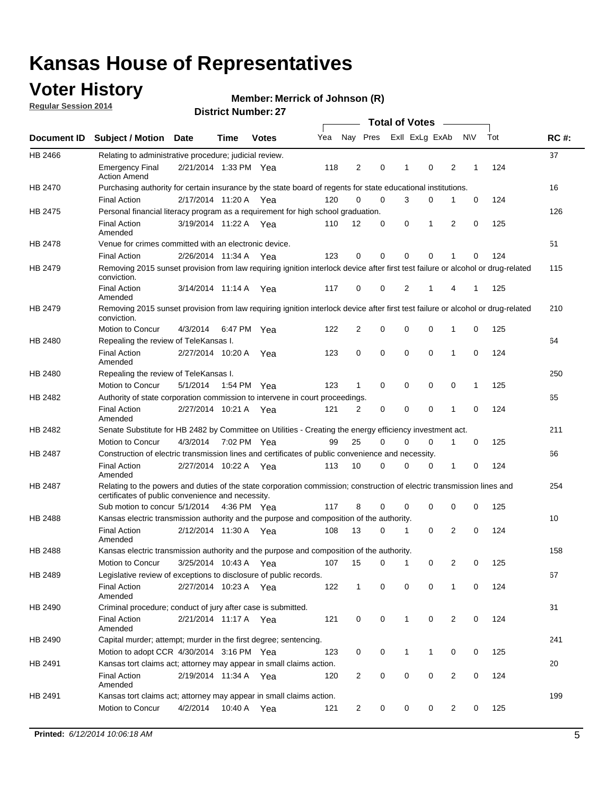## **Voter History**

**Regular Session 2014**

#### **Merrick of Johnson (R)**

|                                                 |                                                                                                                                                                             |                       |             |              |     |                |             | <b>Total of Votes</b> |                |                |             |     |             |
|-------------------------------------------------|-----------------------------------------------------------------------------------------------------------------------------------------------------------------------------|-----------------------|-------------|--------------|-----|----------------|-------------|-----------------------|----------------|----------------|-------------|-----|-------------|
|                                                 | Document ID Subject / Motion Date                                                                                                                                           |                       | Time        | <b>Votes</b> | Yea | Nay Pres       |             |                       | Exll ExLg ExAb |                | <b>NV</b>   | Tot | <b>RC#:</b> |
| HB 2466                                         | Relating to administrative procedure; judicial review.                                                                                                                      |                       |             |              |     |                |             |                       |                |                |             |     | 37          |
|                                                 | <b>Emergency Final</b><br><b>Action Amend</b>                                                                                                                               | 2/21/2014 1:33 PM Yea |             |              | 118 | 2              | 0           | 1                     | $\mathbf 0$    | $\overline{2}$ | 1           | 124 |             |
| HB 2470<br><b>HB 2488</b><br>HB 2488<br>HB 2489 | Purchasing authority for certain insurance by the state board of regents for state educational institutions.                                                                |                       |             |              |     |                |             |                       |                |                |             |     | 16          |
|                                                 | <b>Final Action</b>                                                                                                                                                         | 2/17/2014 11:20 A Yea |             |              | 120 | $\Omega$       | $\mathbf 0$ | 3                     | 0              | 1              | 0           | 124 |             |
| HB 2475                                         | Personal financial literacy program as a requirement for high school graduation.                                                                                            |                       |             |              |     |                |             |                       |                |                |             |     | 126         |
|                                                 | <b>Final Action</b><br>Amended                                                                                                                                              | 3/19/2014 11:22 A Yea |             |              | 110 | 12             | $\mathbf 0$ | 0                     | 1              | 2              | 0           | 125 |             |
| HB 2478                                         | Venue for crimes committed with an electronic device.                                                                                                                       |                       |             |              |     |                |             |                       |                |                |             |     | 51          |
|                                                 | <b>Final Action</b>                                                                                                                                                         | 2/26/2014 11:34 A     |             | Yea          | 123 | $\mathbf 0$    | 0           | $\Omega$              | $\mathbf 0$    | 1              | 0           | 124 |             |
| HB 2479                                         | Removing 2015 sunset provision from law requiring ignition interlock device after first test failure or alcohol or drug-related<br>conviction.                              |                       |             |              |     |                |             |                       |                |                |             |     | 115         |
|                                                 | <b>Final Action</b><br>Amended                                                                                                                                              | 3/14/2014 11:14 A     |             | Yea          | 117 | 0              | 0           | 2                     | 1              | 4              | 1           | 125 |             |
| HB 2479                                         | Removing 2015 sunset provision from law requiring ignition interlock device after first test failure or alcohol or drug-related<br>conviction.                              |                       |             |              |     |                |             |                       |                |                |             |     | 210         |
|                                                 | Motion to Concur                                                                                                                                                            | 4/3/2014              |             | 6:47 PM Yea  | 122 | $\overline{2}$ | 0           | $\mathbf 0$           | $\mathbf 0$    | 1              | 0           | 125 |             |
| HB 2480                                         | Repealing the review of TeleKansas I.                                                                                                                                       |                       |             |              |     |                |             |                       |                |                |             |     | 64          |
|                                                 | <b>Final Action</b><br>Amended                                                                                                                                              | 2/27/2014 10:20 A Yea |             |              | 123 | 0              | 0           | 0                     | $\mathbf 0$    | 1              | 0           | 124 |             |
| HB 2480                                         | Repealing the review of TeleKansas I.                                                                                                                                       |                       |             |              |     |                |             |                       |                |                |             |     | 250         |
|                                                 | Motion to Concur                                                                                                                                                            | 5/1/2014              | 1:54 PM Yea |              | 123 | $\mathbf{1}$   | $\mathbf 0$ | $\mathbf 0$           | $\mathbf 0$    | 0              | 1           | 125 |             |
| HB 2482                                         | Authority of state corporation commission to intervene in court proceedings.                                                                                                |                       |             |              |     |                |             |                       |                |                |             |     | 65          |
|                                                 | <b>Final Action</b><br>Amended                                                                                                                                              | 2/27/2014 10:21 A     |             | Yea          | 121 | 2              | 0           | $\mathbf 0$           | $\mathbf 0$    | 1              | $\mathbf 0$ | 124 |             |
| HB 2482                                         | Senate Substitute for HB 2482 by Committee on Utilities - Creating the energy efficiency investment act.                                                                    |                       |             |              |     |                |             |                       |                |                |             |     | 211         |
|                                                 | Motion to Concur                                                                                                                                                            | 4/3/2014 7:02 PM Yea  |             |              | 99  | 25             | $\Omega$    | 0                     | 0              | 1              | 0           | 125 |             |
| HB 2487                                         | Construction of electric transmission lines and certificates of public convenience and necessity.                                                                           |                       |             |              |     |                |             |                       |                |                |             |     | 66          |
|                                                 | <b>Final Action</b><br>Amended                                                                                                                                              | 2/27/2014 10:22 A Yea |             |              | 113 | 10             | 0           | $\mathbf 0$           | 0              | 1              | 0           | 124 |             |
| HB 2487                                         | Relating to the powers and duties of the state corporation commission; construction of electric transmission lines and<br>certificates of public convenience and necessity. |                       |             |              |     |                |             |                       |                |                |             |     | 254         |
|                                                 | Sub motion to concur 5/1/2014 4:36 PM Yea                                                                                                                                   |                       |             |              | 117 | 8              | 0           | $\Omega$              | $\mathbf 0$    | 0              | 0           | 125 |             |
|                                                 | Kansas electric transmission authority and the purpose and composition of the authority.                                                                                    |                       |             |              |     |                |             |                       |                |                |             |     | 10          |
|                                                 | <b>Final Action</b><br>Amended                                                                                                                                              | 2/12/2014 11:30 A Yea |             |              | 108 | 13             | 0           | 1                     | 0              | $\overline{2}$ | 0           | 124 |             |
|                                                 | Kansas electric transmission authority and the purpose and composition of the authority.                                                                                    |                       |             |              |     |                |             |                       |                |                |             |     | 158         |
|                                                 | <b>Motion to Concur</b>                                                                                                                                                     | 3/25/2014 10:43 A     |             | Yea          | 107 | 15             | 0           | 1                     | 0              | 2              | 0           | 125 |             |
|                                                 | Legislative review of exceptions to disclosure of public records.                                                                                                           |                       |             |              |     |                |             |                       |                |                |             |     | 67          |
|                                                 | <b>Final Action</b><br>Amended                                                                                                                                              | 2/27/2014 10:23 A Yea |             |              | 122 | $\mathbf{1}$   | 0           | 0                     | $\mathbf 0$    | $\mathbf{1}$   | 0           | 124 |             |
| HB 2490                                         | Criminal procedure; conduct of jury after case is submitted.                                                                                                                |                       |             |              |     |                |             |                       |                |                |             |     | 31          |
|                                                 | <b>Final Action</b><br>Amended                                                                                                                                              | 2/21/2014 11:17 A Yea |             |              | 121 | 0              | 0           | $\mathbf{1}$          | $\mathbf 0$    | 2              | $\mathbf 0$ | 124 |             |
| HB 2490                                         | Capital murder; attempt; murder in the first degree; sentencing.                                                                                                            |                       |             |              |     |                |             |                       |                |                |             |     | 241         |
|                                                 | Motion to adopt CCR 4/30/2014 3:16 PM Yea                                                                                                                                   |                       |             |              | 123 | 0              | 0           | 1                     | 1              | 0              | 0           | 125 |             |
| HB 2491                                         | Kansas tort claims act; attorney may appear in small claims action.                                                                                                         |                       |             |              |     |                |             |                       |                |                |             |     | 20          |
|                                                 | <b>Final Action</b><br>Amended                                                                                                                                              | 2/19/2014 11:34 A Yea |             |              | 120 | $\overline{c}$ | 0           | 0                     | $\pmb{0}$      | 2              | 0           | 124 |             |
| HB 2491                                         | Kansas tort claims act; attorney may appear in small claims action.                                                                                                         |                       |             |              |     |                |             |                       |                |                |             |     | 199         |
|                                                 | Motion to Concur                                                                                                                                                            | 4/2/2014              |             | 10:40 A Yea  | 121 | 2              | 0           | 0                     | 0              | 2              | 0           | 125 |             |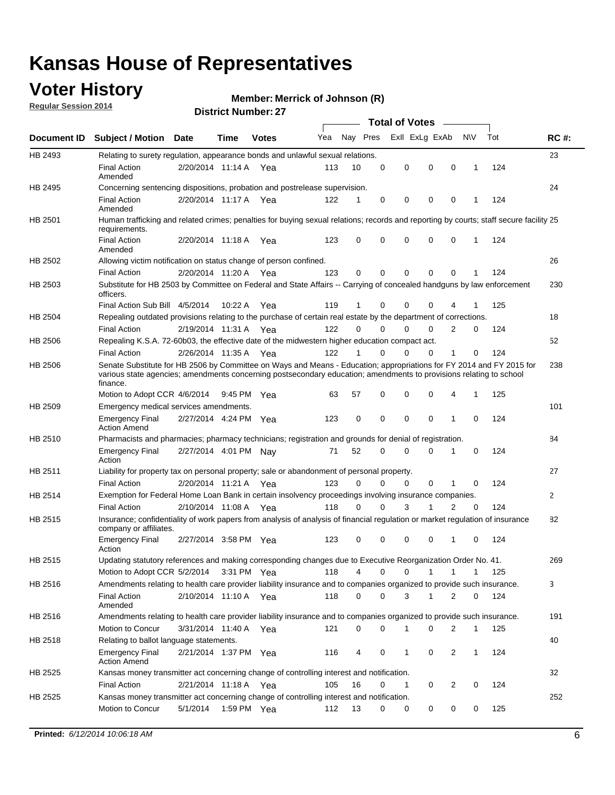## **Voter History**

**Regular Session 2014**

#### **Merrick of Johnson (R)**

|                    |                                                                                                                                                                                                                                                        |                       |             |              |     |          |          | <b>Total of Votes</b> |              |                |              |     |              |
|--------------------|--------------------------------------------------------------------------------------------------------------------------------------------------------------------------------------------------------------------------------------------------------|-----------------------|-------------|--------------|-----|----------|----------|-----------------------|--------------|----------------|--------------|-----|--------------|
| <b>Document ID</b> | <b>Subject / Motion Date</b>                                                                                                                                                                                                                           |                       | Time        | <b>Votes</b> | Yea | Nay Pres |          | Exll ExLg ExAb        |              |                | N\V          | Tot | <b>RC#:</b>  |
| HB 2493            | Relating to surety regulation, appearance bonds and unlawful sexual relations.                                                                                                                                                                         |                       |             |              |     |          |          |                       |              |                |              |     | 23           |
|                    | <b>Final Action</b><br>Amended                                                                                                                                                                                                                         | 2/20/2014 11:14 A     |             | Yea          | 113 | 10       | 0        | 0                     | $\mathbf 0$  | 0              | $\mathbf 1$  | 124 |              |
| HB 2495            | Concerning sentencing dispositions, probation and postrelease supervision.                                                                                                                                                                             |                       |             |              |     |          |          |                       |              |                |              |     | 24           |
|                    | Final Action<br>Amended                                                                                                                                                                                                                                | 2/20/2014 11:17 A Yea |             |              | 122 | 1        | 0        | 0                     | 0            | $\mathbf 0$    | 1            | 124 |              |
| HB 2501            | Human trafficking and related crimes; penalties for buying sexual relations; records and reporting by courts; staff secure facility 25<br>requirements.                                                                                                |                       |             |              |     |          |          |                       |              |                |              |     |              |
|                    | <b>Final Action</b><br>Amended                                                                                                                                                                                                                         | 2/20/2014 11:18 A Yea |             |              | 123 | 0        | 0        | 0                     | 0            | $\mathbf 0$    | 1            | 124 |              |
| HB 2502            | Allowing victim notification on status change of person confined.                                                                                                                                                                                      |                       |             |              |     |          |          |                       |              |                |              |     | 26           |
|                    | <b>Final Action</b>                                                                                                                                                                                                                                    | 2/20/2014 11:20 A Yea |             |              | 123 | 0        | 0        | 0                     | $\Omega$     | $\Omega$       |              | 124 |              |
| HB 2503            | Substitute for HB 2503 by Committee on Federal and State Affairs -- Carrying of concealed handguns by law enforcement<br>officers.                                                                                                                     |                       |             |              |     |          |          |                       |              |                |              |     | 230          |
|                    | Final Action Sub Bill 4/5/2014                                                                                                                                                                                                                         |                       | 10:22 A     | Yea          | 119 |          | 0        | 0                     | 0            | 4              |              | 125 |              |
| HB 2504            | Repealing outdated provisions relating to the purchase of certain real estate by the department of corrections.                                                                                                                                        |                       |             |              |     |          |          |                       |              |                |              |     | 18           |
|                    | <b>Final Action</b>                                                                                                                                                                                                                                    | 2/19/2014 11:31 A Yea |             |              | 122 | 0        | 0        | 0                     | $\Omega$     | $\overline{2}$ | 0            | 124 |              |
| HB 2506            | Repealing K.S.A. 72-60b03, the effective date of the midwestern higher education compact act.                                                                                                                                                          |                       |             |              |     |          |          |                       |              |                |              |     | 52           |
|                    | <b>Final Action</b>                                                                                                                                                                                                                                    | 2/26/2014 11:35 A Yea |             |              | 122 |          | 0        | 0                     | 0            | 1              | 0            | 124 |              |
| HB 2506            | Senate Substitute for HB 2506 by Committee on Ways and Means - Education; appropriations for FY 2014 and FY 2015 for<br>various state agencies; amendments concerning postsecondary education; amendments to provisions relating to school<br>finance. |                       |             |              |     |          |          |                       |              |                |              |     | 238          |
|                    | Motion to Adopt CCR 4/6/2014                                                                                                                                                                                                                           |                       | 9:45 PM Yea |              | 63  | 57       | 0        | 0                     | 0            | 4              | 1            | 125 |              |
| HB 2509            | Emergency medical services amendments.                                                                                                                                                                                                                 |                       |             |              |     |          |          |                       |              |                |              |     | 101          |
|                    | <b>Emergency Final</b><br><b>Action Amend</b>                                                                                                                                                                                                          | 2/27/2014 4:24 PM Yea |             |              | 123 | 0        | 0        | 0                     | 0            | $\mathbf 1$    | 0            | 124 |              |
| HB 2510            | Pharmacists and pharmacies; pharmacy technicians; registration and grounds for denial of registration.                                                                                                                                                 |                       |             |              |     |          |          |                       |              |                |              |     | 84           |
|                    | <b>Emergency Final</b><br>Action                                                                                                                                                                                                                       | 2/27/2014 4:01 PM Nay |             |              | 71  | 52       | 0        | 0                     | 0            | 1              | 0            | 124 |              |
| HB 2511            | Liability for property tax on personal property; sale or abandonment of personal property.                                                                                                                                                             |                       |             |              |     |          |          |                       |              |                |              |     | 27           |
|                    | <b>Final Action</b>                                                                                                                                                                                                                                    | 2/20/2014 11:21 A     |             | Yea          | 123 | 0        | $\Omega$ | 0                     | 0            | 1              | 0            | 124 |              |
| HB 2514            | Exemption for Federal Home Loan Bank in certain insolvency proceedings involving insurance companies.                                                                                                                                                  |                       |             |              |     |          |          |                       |              |                |              |     | $\mathbf{2}$ |
|                    | <b>Final Action</b>                                                                                                                                                                                                                                    | 2/10/2014 11:08 A     |             | Yea          | 118 | 0        | 0        | 3                     | 1            | $\overline{2}$ | 0            | 124 |              |
| HB 2515            | Insurance; confidentiality of work papers from analysis of analysis of financial regulation or market regulation of insurance<br>company or affiliates.                                                                                                |                       |             |              |     |          |          |                       |              |                |              |     | 82           |
|                    | <b>Emergency Final</b><br>Action                                                                                                                                                                                                                       | 2/27/2014 3:58 PM Yea |             |              | 123 | 0        | 0        | 0                     | 0            | -1             | 0            | 124 |              |
| HB 2515            | Updating statutory references and making corresponding changes due to Executive Reorganization Order No. 41.                                                                                                                                           |                       |             |              |     |          |          |                       |              |                |              |     | 269          |
|                    | Motion to Adopt CCR 5/2/2014 3:31 PM Yea                                                                                                                                                                                                               |                       |             |              | 118 | 4        | 0        | 0                     | $\mathbf{1}$ | $\mathbf{1}$   | $\mathbf{1}$ | 125 |              |
| HB 2516            | Amendments relating to health care provider liability insurance and to companies organized to provide such insurance.                                                                                                                                  |                       |             |              |     |          |          |                       |              |                |              |     | 3            |
|                    | <b>Final Action</b><br>Amended                                                                                                                                                                                                                         | 2/10/2014 11:10 A Yea |             |              | 118 | 0        | 0        | 3                     | $\mathbf{1}$ | 2              | 0            | 124 |              |
| HB 2516            | Amendments relating to health care provider liability insurance and to companies organized to provide such insurance.                                                                                                                                  |                       |             |              |     |          |          |                       |              |                |              |     | 191          |
|                    | Motion to Concur                                                                                                                                                                                                                                       | 3/31/2014 11:40 A Yea |             |              | 121 | 0        | 0        | 1                     | 0            | 2              | $\mathbf{1}$ | 125 |              |
| HB 2518            | Relating to ballot language statements.                                                                                                                                                                                                                |                       |             |              |     |          |          |                       |              |                |              |     | 40           |
|                    | <b>Emergency Final</b><br><b>Action Amend</b>                                                                                                                                                                                                          | 2/21/2014 1:37 PM Yea |             |              | 116 | 4        | 0        | 1                     | 0            | 2              | $\mathbf{1}$ | 124 |              |
| HB 2525            | Kansas money transmitter act concerning change of controlling interest and notification.                                                                                                                                                               |                       |             |              |     |          |          |                       |              |                |              |     | 32           |
|                    | <b>Final Action</b>                                                                                                                                                                                                                                    | 2/21/2014 11:18 A Yea |             |              | 105 | 16       | 0        | 1                     | 0            | 2              | 0            | 124 |              |
| HB 2525            | Kansas money transmitter act concerning change of controlling interest and notification.                                                                                                                                                               |                       |             |              |     |          |          |                       |              |                |              |     | 252          |
|                    | Motion to Concur                                                                                                                                                                                                                                       | 5/1/2014              |             | 1:59 PM Yea  | 112 | 13       | 0        | 0                     | 0            | 0              | 0            | 125 |              |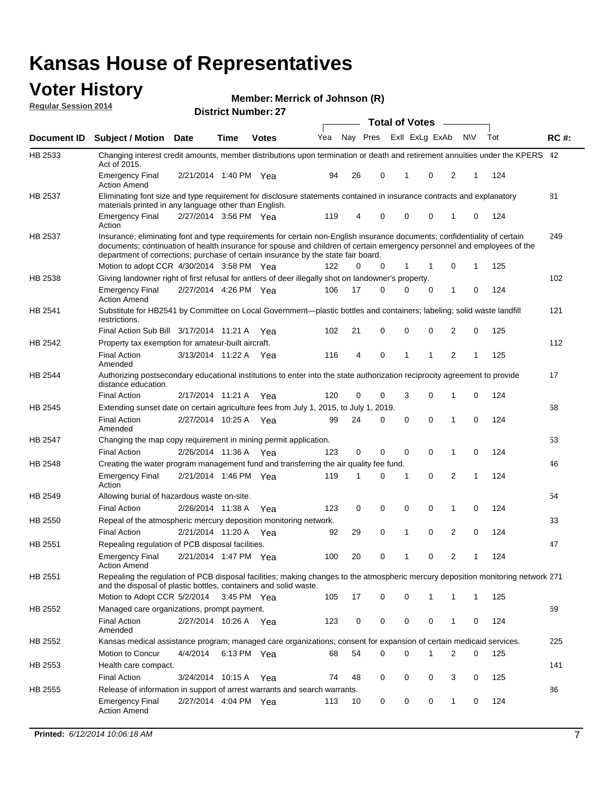#### **Voter History Regular Session 2014**

|                    |                                                                                                                                                                                                                                                                                                                                           |                       |      |              |     |          |   | <b>Total of Votes</b> |             |                |           |     |             |
|--------------------|-------------------------------------------------------------------------------------------------------------------------------------------------------------------------------------------------------------------------------------------------------------------------------------------------------------------------------------------|-----------------------|------|--------------|-----|----------|---|-----------------------|-------------|----------------|-----------|-----|-------------|
| <b>Document ID</b> | <b>Subject / Motion Date</b>                                                                                                                                                                                                                                                                                                              |                       | Time | <b>Votes</b> | Yea | Nay Pres |   | Exll ExLg ExAb        |             |                | <b>NV</b> | Tot | <b>RC#:</b> |
| HB 2533            | Changing interest credit amounts, member distributions upon termination or death and retirement annuities under the KPERS 42<br>Act of 2015.                                                                                                                                                                                              |                       |      |              |     |          |   |                       |             |                |           |     |             |
|                    | <b>Emergency Final</b><br>Action Amend                                                                                                                                                                                                                                                                                                    | 2/21/2014 1:40 PM Yea |      |              | 94  | 26       | 0 | 1                     | 0           | 2              | 1         | 124 |             |
| HB 2537            | Eliminating font size and type requirement for disclosure statements contained in insurance contracts and explanatory<br>materials printed in any language other than English.                                                                                                                                                            |                       |      |              |     |          |   |                       |             |                |           |     | 81          |
|                    | <b>Emergency Final</b><br>Action                                                                                                                                                                                                                                                                                                          | 2/27/2014 3:56 PM Yea |      |              | 119 | 4        | 0 | $\mathbf 0$           | $\mathbf 0$ | 1              | 0         | 124 |             |
| HB 2537            | Insurance; eliminating font and type requirements for certain non-English insurance documents; confidentiality of certain<br>documents; continuation of health insurance for spouse and children of certain emergency personnel and employees of the<br>department of corrections; purchase of certain insurance by the state fair board. |                       |      |              |     |          |   |                       |             |                |           |     | 249         |
|                    | Motion to adopt CCR 4/30/2014 3:58 PM Yea                                                                                                                                                                                                                                                                                                 |                       |      |              | 122 | 0        | 0 | 1                     | 1           | 0              | 1         | 125 |             |
| HB 2538            | Giving landowner right of first refusal for antlers of deer illegally shot on landowner's property.                                                                                                                                                                                                                                       |                       |      |              |     |          |   |                       |             |                |           |     | 102         |
|                    | Emergency Final<br><b>Action Amend</b>                                                                                                                                                                                                                                                                                                    | 2/27/2014 4:26 PM Yea |      |              | 106 | 17       | 0 | $\Omega$              | 0           | 1              | 0         | 124 |             |
| HB 2541            | Substitute for HB2541 by Committee on Local Government—plastic bottles and containers; labeling; solid waste landfill<br>restrictions.                                                                                                                                                                                                    |                       |      |              |     |          |   |                       |             |                |           |     | 121         |
|                    | Final Action Sub Bill 3/17/2014 11:21 A Yea                                                                                                                                                                                                                                                                                               |                       |      |              | 102 | 21       | 0 | $\mathbf 0$           | 0           | 2              | 0         | 125 |             |
| HB 2542            | Property tax exemption for amateur-built aircraft.                                                                                                                                                                                                                                                                                        |                       |      |              |     |          |   |                       |             |                |           |     | 112         |
|                    | <b>Final Action</b><br>Amended                                                                                                                                                                                                                                                                                                            | 3/13/2014 11:22 A Yea |      |              | 116 | 4        | 0 | 1                     | 1           | 2              | 1         | 125 |             |
| HB 2544            | Authorizing postsecondary educational institutions to enter into the state authorization reciprocity agreement to provide<br>distance education.                                                                                                                                                                                          |                       |      |              |     |          |   |                       |             |                |           |     | 17          |
|                    | <b>Final Action</b>                                                                                                                                                                                                                                                                                                                       | 2/17/2014 11:21 A     |      | Yea          | 120 | 0        | 0 | 3                     | 0           | 1              | 0         | 124 |             |
| <b>HB 2545</b>     | Extending sunset date on certain agriculture fees from July 1, 2015, to July 1, 2019.                                                                                                                                                                                                                                                     |                       |      |              |     |          |   |                       |             |                |           |     | 68          |
|                    | <b>Final Action</b><br>Amended                                                                                                                                                                                                                                                                                                            | 2/27/2014 10:25 A     |      | Yea          | 99  | 24       | 0 | 0                     | 0           | 1              | 0         | 124 |             |
| HB 2547            | Changing the map copy requirement in mining permit application.                                                                                                                                                                                                                                                                           |                       |      |              |     |          |   |                       |             |                |           |     | 53          |
|                    | <b>Final Action</b>                                                                                                                                                                                                                                                                                                                       | 2/26/2014 11:36 A Yea |      |              | 123 | 0        | 0 | 0                     | 0           | 1              | 0         | 124 |             |
| HB 2548            | Creating the water program management fund and transferring the air quality fee fund.                                                                                                                                                                                                                                                     |                       |      |              |     |          |   |                       |             |                |           |     | 46          |
|                    | <b>Emergency Final</b><br>Action                                                                                                                                                                                                                                                                                                          | 2/21/2014 1:46 PM Yea |      |              | 119 | 1        | 0 | 1                     | 0           | 2              | 1         | 124 |             |
| HB 2549            | Allowing burial of hazardous waste on-site.                                                                                                                                                                                                                                                                                               |                       |      |              |     |          |   |                       |             |                |           |     | 54          |
|                    | <b>Final Action</b>                                                                                                                                                                                                                                                                                                                       | 2/26/2014 11:38 A     |      | Yea          | 123 | 0        | 0 | $\mathbf 0$           | 0           | 1              | 0         | 124 |             |
| HB 2550            | Repeal of the atmospheric mercury deposition monitoring network.                                                                                                                                                                                                                                                                          |                       |      |              |     |          |   |                       |             |                |           |     | 33          |
|                    | <b>Final Action</b>                                                                                                                                                                                                                                                                                                                       | 2/21/2014 11:20 A Yea |      |              | 92  | 29       | 0 | 1                     | 0           | 2              | 0         | 124 |             |
| HB 2551            | Repealing regulation of PCB disposal facilities.                                                                                                                                                                                                                                                                                          |                       |      |              |     |          |   |                       |             |                |           |     | 47          |
|                    | <b>Emergency Final</b><br><b>Action Amend</b>                                                                                                                                                                                                                                                                                             | 2/21/2014 1:47 PM Yea |      |              | 100 | 20       | 0 | 1                     | 0           | $\overline{2}$ | 1         | 124 |             |
| HB 2551            | Repealing the regulation of PCB disposal facilities; making changes to the atmospheric mercury deposition monitoring network 271<br>and the disposal of plastic bottles, containers and solid waste.                                                                                                                                      |                       |      |              |     |          |   |                       |             |                |           |     |             |
|                    | Motion to Adopt CCR 5/2/2014                                                                                                                                                                                                                                                                                                              |                       |      | 3:45 PM Yea  | 105 | 17       | 0 | 0                     | 1           | 1              | 1         | 125 |             |
| HB 2552            | Managed care organizations, prompt payment.                                                                                                                                                                                                                                                                                               |                       |      |              |     |          |   |                       |             |                |           |     | 69          |
|                    | <b>Final Action</b><br>Amended                                                                                                                                                                                                                                                                                                            | 2/27/2014 10:26 A Yea |      |              | 123 | 0        | 0 | 0                     | 0           | 1              | 0         | 124 |             |
| HB 2552            | Kansas medical assistance program; managed care organizations; consent for expansion of certain medicaid services.                                                                                                                                                                                                                        |                       |      |              |     |          |   |                       |             |                |           |     | 225         |
|                    | Motion to Concur                                                                                                                                                                                                                                                                                                                          | 4/4/2014              |      | 6:13 PM Yea  | 68  | 54       | 0 | 0                     | 1           | 2              | 0         | 125 |             |
| HB 2553            | Health care compact.                                                                                                                                                                                                                                                                                                                      |                       |      |              |     |          |   |                       |             |                |           |     | 141         |
|                    | <b>Final Action</b>                                                                                                                                                                                                                                                                                                                       | 3/24/2014 10:15 A Yea |      |              | 74  | 48       | 0 | 0                     | 0           | 3              | 0         | 125 |             |
| HB 2555            | Release of information in support of arrest warrants and search warrants.                                                                                                                                                                                                                                                                 |                       |      |              |     |          |   |                       |             |                |           |     | 86          |
|                    | Emergency Final<br><b>Action Amend</b>                                                                                                                                                                                                                                                                                                    | 2/27/2014 4:04 PM Yea |      |              | 113 | 10       | 0 | 0                     | 0           | 1              | 0         | 124 |             |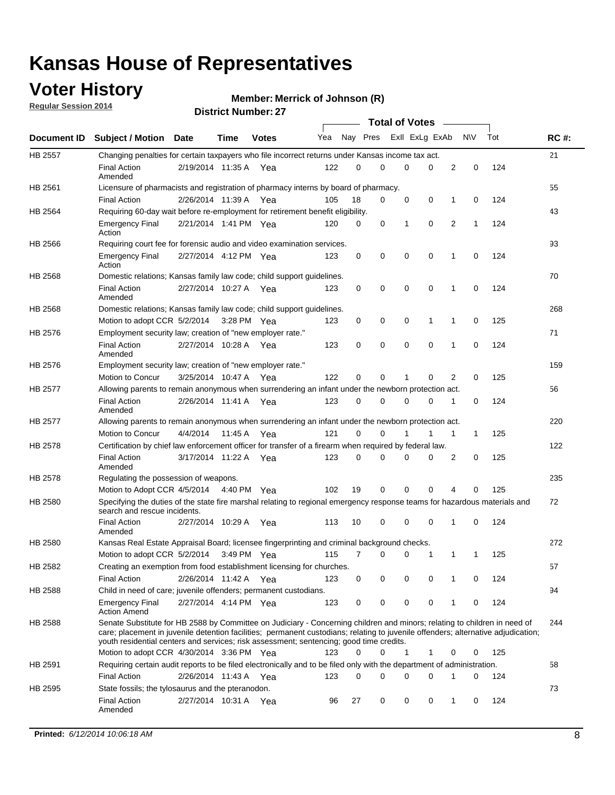## **Voter History**

**Regular Session 2014**

#### **Merrick of Johnson (R)**

|                               |                                                                                                                                                                                                                                                                                                                                                           |                       |         |              |     |          |   | <b>Total of Votes</b> |          | $\frac{1}{2}$ |             |     |             |
|-------------------------------|-----------------------------------------------------------------------------------------------------------------------------------------------------------------------------------------------------------------------------------------------------------------------------------------------------------------------------------------------------------|-----------------------|---------|--------------|-----|----------|---|-----------------------|----------|---------------|-------------|-----|-------------|
|                               | <b>Subject / Motion</b>                                                                                                                                                                                                                                                                                                                                   | Date                  | Time    | <b>Votes</b> | Yea | Nay Pres |   | Exll ExLg ExAb        |          |               | <b>NV</b>   | Tot | <b>RC#:</b> |
| <b>HB 2557</b>                | Changing penalties for certain taxpayers who file incorrect returns under Kansas income tax act.                                                                                                                                                                                                                                                          |                       |         |              |     |          |   |                       |          |               |             |     | 21          |
|                               | <b>Final Action</b><br>Amended                                                                                                                                                                                                                                                                                                                            | 2/19/2014 11:35 A     |         | Yea          | 122 | 0        | 0 | 0                     | 0        | 2             | $\mathbf 0$ | 124 |             |
| <b>Document ID</b><br>HB 2561 | Licensure of pharmacists and registration of pharmacy interns by board of pharmacy.                                                                                                                                                                                                                                                                       |                       |         |              |     |          |   |                       |          |               |             |     | 55          |
|                               | <b>Final Action</b>                                                                                                                                                                                                                                                                                                                                       | 2/26/2014 11:39 A Yea |         |              | 105 | 18       | 0 | 0                     | 0        | 1             | 0           | 124 |             |
| HB 2564                       | Requiring 60-day wait before re-employment for retirement benefit eligibility.                                                                                                                                                                                                                                                                            |                       |         |              |     |          |   |                       |          |               |             |     | 43          |
|                               | <b>Emergency Final</b><br>Action                                                                                                                                                                                                                                                                                                                          | 2/21/2014 1:41 PM Yea |         |              | 120 | 0        | 0 | 1                     | 0        | 2             | 1           | 124 |             |
| HB 2566                       | Requiring court fee for forensic audio and video examination services.                                                                                                                                                                                                                                                                                    |                       |         |              |     |          |   |                       |          |               |             |     | 93          |
|                               | <b>Emergency Final</b><br>Action                                                                                                                                                                                                                                                                                                                          | 2/27/2014 4:12 PM Yea |         |              | 123 | 0        | 0 | $\mathbf 0$           | 0        | 1             | 0           | 124 |             |
| HB 2568                       | Domestic relations; Kansas family law code; child support guidelines.                                                                                                                                                                                                                                                                                     |                       |         |              |     |          |   |                       |          |               |             |     | 70          |
|                               | <b>Final Action</b><br>Amended                                                                                                                                                                                                                                                                                                                            | 2/27/2014 10:27 A     |         | Yea          | 123 | 0        | 0 | 0                     | 0        | 1             | 0           | 124 |             |
| HB 2568                       | Domestic relations; Kansas family law code; child support guidelines.                                                                                                                                                                                                                                                                                     |                       |         |              |     |          |   |                       |          |               |             |     | 268         |
|                               | Motion to adopt CCR 5/2/2014 3:28 PM Yea                                                                                                                                                                                                                                                                                                                  |                       |         |              | 123 | 0        | 0 | 0                     | 1        | 1             | 0           | 125 |             |
| HB 2576                       | Employment security law; creation of "new employer rate."                                                                                                                                                                                                                                                                                                 |                       |         |              |     |          |   |                       |          |               |             |     | 71          |
|                               | <b>Final Action</b><br>Amended                                                                                                                                                                                                                                                                                                                            | 2/27/2014 10:28 A Yea |         |              | 123 | 0        | 0 | 0                     | 0        | 1             | 0           | 124 |             |
| HB 2576                       | Employment security law; creation of "new employer rate."                                                                                                                                                                                                                                                                                                 |                       |         |              |     |          |   |                       |          |               |             |     | 159         |
|                               | Motion to Concur                                                                                                                                                                                                                                                                                                                                          | 3/25/2014 10:47 A     |         | Yea          | 122 | 0        | 0 | 1                     | 0        | 2             | 0           | 125 |             |
| <b>HB 2577</b>                | Allowing parents to remain anonymous when surrendering an infant under the newborn protection act.                                                                                                                                                                                                                                                        |                       |         |              |     |          |   |                       |          |               |             |     | 56          |
|                               | <b>Final Action</b><br>Amended                                                                                                                                                                                                                                                                                                                            | 2/26/2014 11:41 A Yea |         |              | 123 | $\Omega$ | 0 | 0                     | $\Omega$ | 1             | 0           | 124 |             |
| <b>HB 2577</b>                | Allowing parents to remain anonymous when surrendering an infant under the newborn protection act.                                                                                                                                                                                                                                                        |                       |         |              |     |          |   |                       |          |               |             |     | 220         |
|                               | Motion to Concur                                                                                                                                                                                                                                                                                                                                          | 4/4/2014              | 11:45 A | Yea          | 121 | 0        | 0 | 1                     | 1        | 1             | 1           | 125 |             |
| HB 2578                       | Certification by chief law enforcement officer for transfer of a firearm when required by federal law.                                                                                                                                                                                                                                                    |                       |         |              |     |          |   |                       |          |               |             |     | 122         |
|                               | <b>Final Action</b><br>Amended                                                                                                                                                                                                                                                                                                                            | 3/17/2014 11:22 A     |         | Yea          | 123 | 0        | 0 | 0                     | 0        | 2             | 0           | 125 |             |
| HB 2578                       | Regulating the possession of weapons.                                                                                                                                                                                                                                                                                                                     |                       |         |              |     |          |   |                       |          |               |             |     | 235         |
|                               | Motion to Adopt CCR 4/5/2014 4:40 PM Yea                                                                                                                                                                                                                                                                                                                  |                       |         |              | 102 | 19       | 0 | 0                     | $\Omega$ | 4             | 0           | 125 |             |
| HB 2580                       | Specifying the duties of the state fire marshal relating to regional emergency response teams for hazardous materials and<br>search and rescue incidents.                                                                                                                                                                                                 |                       |         |              |     |          |   |                       |          |               |             |     | 72          |
|                               | <b>Final Action</b><br>Amended                                                                                                                                                                                                                                                                                                                            | 2/27/2014 10:29 A     |         | Yea          | 113 | 10       | 0 | 0                     | 0        | 1             | 0           | 124 |             |
| HB 2580                       | Kansas Real Estate Appraisal Board; licensee fingerprinting and criminal background checks.                                                                                                                                                                                                                                                               |                       |         |              |     |          |   |                       |          |               |             |     | 272         |
|                               | Motion to adopt CCR 5/2/2014                                                                                                                                                                                                                                                                                                                              |                       |         | 3:49 PM Yea  | 115 | 7        | 0 | 0                     | 1        | 1             | 1           | 125 |             |
| HB 2582                       | Creating an exemption from food establishment licensing for churches.                                                                                                                                                                                                                                                                                     |                       |         |              |     |          |   |                       |          |               |             |     | 57          |
|                               | <b>Final Action</b>                                                                                                                                                                                                                                                                                                                                       | 2/26/2014 11:42 A Yea |         |              | 123 | 0        | 0 | 0                     | 0        | 1             | 0           | 124 |             |
| HB 2588                       | Child in need of care; juvenile offenders; permanent custodians.                                                                                                                                                                                                                                                                                          |                       |         |              |     |          |   |                       |          |               |             |     | 94          |
|                               | <b>Emergency Final</b><br><b>Action Amend</b>                                                                                                                                                                                                                                                                                                             | 2/27/2014 4:14 PM Yea |         |              | 123 | 0        | 0 | 0                     | 0        | 1             | 0           | 124 |             |
| HB 2588                       | Senate Substitute for HB 2588 by Committee on Judiciary - Concerning children and minors; relating to children in need of<br>care; placement in juvenile detention facilities; permanent custodians; relating to juvenile offenders; alternative adjudication;<br>youth residential centers and services; risk assessment; sentencing; good time credits. |                       |         |              |     |          |   |                       |          |               |             |     | 244         |
|                               | Motion to adopt CCR 4/30/2014 3:36 PM Yea                                                                                                                                                                                                                                                                                                                 |                       |         |              | 123 | 0        | 0 | 1                     | 1        | 0             | 0           | 125 |             |
| HB 2591                       | Requiring certain audit reports to be filed electronically and to be filed only with the department of administration.                                                                                                                                                                                                                                    |                       |         |              |     |          |   |                       |          |               |             |     | 58          |
|                               | <b>Final Action</b>                                                                                                                                                                                                                                                                                                                                       | 2/26/2014 11:43 A Yea |         |              | 123 | 0        | 0 | 0                     | 0        | 1             | 0           | 124 |             |
| HB 2595                       | State fossils; the tylosaurus and the pteranodon.                                                                                                                                                                                                                                                                                                         |                       |         |              |     |          |   |                       |          |               |             |     | 73          |
|                               | <b>Final Action</b><br>Amended                                                                                                                                                                                                                                                                                                                            | 2/27/2014 10:31 A Yea |         |              | 96  | 27       | 0 | 0                     | 0        | 1             | 0           | 124 |             |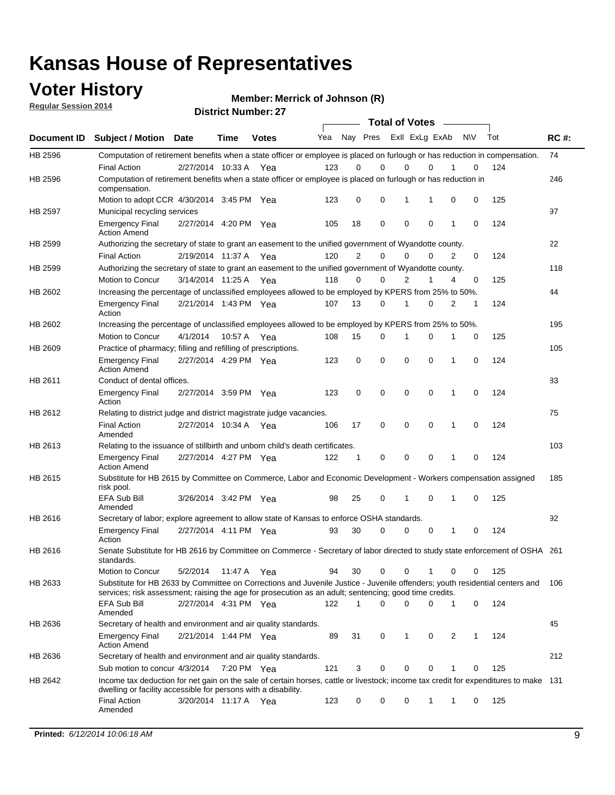### **Voter History**

**Regular Session 2014**

**Merrick of Johnson (R)**

|             |                                                                                                                                                                                                                                       | 130100119011001.21<br><b>Total of Votes</b> |             |              |     |                |             |                         |             |   |           |     |             |
|-------------|---------------------------------------------------------------------------------------------------------------------------------------------------------------------------------------------------------------------------------------|---------------------------------------------|-------------|--------------|-----|----------------|-------------|-------------------------|-------------|---|-----------|-----|-------------|
| Document ID | <b>Subject / Motion Date</b>                                                                                                                                                                                                          |                                             | Time        | <b>Votes</b> | Yea |                |             | Nay Pres ExII ExLg ExAb |             |   | <b>NV</b> | Tot | <b>RC#:</b> |
| HB 2596     | Computation of retirement benefits when a state officer or employee is placed on furlough or has reduction in compensation.                                                                                                           |                                             |             |              |     |                |             |                         |             |   |           |     | 74          |
|             | <b>Final Action</b>                                                                                                                                                                                                                   | 2/27/2014 10:33 A                           |             | Yea          | 123 | 0              | $\Omega$    | 0                       | 0           |   | 0         | 124 |             |
| HB 2596     | Computation of retirement benefits when a state officer or employee is placed on furlough or has reduction in<br>compensation.                                                                                                        |                                             |             |              |     |                |             |                         |             |   |           |     | 246         |
|             | Motion to adopt CCR 4/30/2014 3:45 PM Yea                                                                                                                                                                                             |                                             |             |              | 123 | 0              | $\mathbf 0$ | 1                       | 1           | 0 | 0         | 125 |             |
| HB 2597     | Municipal recycling services                                                                                                                                                                                                          |                                             |             |              |     |                |             |                         |             |   |           |     | 97          |
|             | <b>Emergency Final</b><br><b>Action Amend</b>                                                                                                                                                                                         | 2/27/2014 4:20 PM Yea                       |             |              | 105 | 18             | $\mathbf 0$ | $\mathbf 0$             | $\mathbf 0$ | 1 | 0         | 124 |             |
| HB 2599     | Authorizing the secretary of state to grant an easement to the unified government of Wyandotte county.                                                                                                                                |                                             |             |              |     |                |             |                         |             |   |           |     | 22          |
|             | <b>Final Action</b>                                                                                                                                                                                                                   | 2/19/2014 11:37 A Yea                       |             |              | 120 | $\overline{2}$ | 0           | $\mathbf 0$             | 0           | 2 | 0         | 124 |             |
| HB 2599     | Authorizing the secretary of state to grant an easement to the unified government of Wyandotte county.                                                                                                                                |                                             |             |              |     |                |             |                         |             |   |           |     | 118         |
|             | Motion to Concur                                                                                                                                                                                                                      | 3/14/2014 11:25 A Yea                       |             |              | 118 | 0              | 0           | $\overline{2}$          | 1           | 4 | 0         | 125 |             |
| HB 2602     | Increasing the percentage of unclassified employees allowed to be employed by KPERS from 25% to 50%.                                                                                                                                  |                                             |             |              |     |                |             |                         |             |   |           |     | 44          |
|             | <b>Emergency Final</b><br>Action                                                                                                                                                                                                      | 2/21/2014 1:43 PM Yea                       |             |              | 107 | 13             | 0           | 1                       | 0           | 2 | 1         | 124 |             |
| HB 2602     | Increasing the percentage of unclassified employees allowed to be employed by KPERS from 25% to 50%.                                                                                                                                  |                                             |             |              |     |                |             |                         |             |   |           |     | 195         |
|             | Motion to Concur                                                                                                                                                                                                                      | 4/1/2014                                    | 10:57 A     | Yea          | 108 | 15             | 0           | 1                       | 0           |   | 0         | 125 |             |
| HB 2609     | Practice of pharmacy; filling and refilling of prescriptions.                                                                                                                                                                         |                                             |             |              |     |                |             |                         |             |   |           |     | 105         |
|             | <b>Emergency Final</b><br><b>Action Amend</b>                                                                                                                                                                                         | 2/27/2014 4:29 PM Yea                       |             |              | 123 | 0              | $\mathbf 0$ | $\mathbf 0$             | $\mathbf 0$ | 1 | 0         | 124 |             |
| HB 2611     | Conduct of dental offices.                                                                                                                                                                                                            |                                             |             |              |     |                |             |                         |             |   |           |     | 83          |
|             | <b>Emergency Final</b><br>Action                                                                                                                                                                                                      | 2/27/2014 3:59 PM Yea                       |             |              | 123 | 0              | $\mathbf 0$ | $\mathbf 0$             | $\mathbf 0$ | 1 | 0         | 124 |             |
| HB 2612     | Relating to district judge and district magistrate judge vacancies.                                                                                                                                                                   |                                             |             |              |     |                |             |                         |             |   |           |     | 75          |
|             | <b>Final Action</b><br>Amended                                                                                                                                                                                                        | 2/27/2014 10:34 A                           |             | Yea          | 106 | 17             | $\mathbf 0$ | $\mathbf 0$             | $\mathbf 0$ | 1 | 0         | 124 |             |
| HB 2613     | Relating to the issuance of stillbirth and unborn child's death certificates.                                                                                                                                                         |                                             |             |              |     |                |             |                         |             |   |           |     | 103         |
|             | <b>Emergency Final</b><br><b>Action Amend</b>                                                                                                                                                                                         | 2/27/2014 4:27 PM Yea                       |             |              | 122 | 1              | 0           | $\mathbf 0$             | $\Omega$    | 1 | 0         | 124 |             |
| HB 2615     | Substitute for HB 2615 by Committee on Commerce, Labor and Economic Development - Workers compensation assigned<br>risk pool.                                                                                                         |                                             |             |              |     |                |             |                         |             |   |           |     | 185         |
|             | EFA Sub Bill<br>Amended                                                                                                                                                                                                               | 3/26/2014 3:42 PM Yea                       |             |              | 98  | 25             | 0           | 1                       | 0           | 1 | 0         | 125 |             |
| HB 2616     | Secretary of labor; explore agreement to allow state of Kansas to enforce OSHA standards.                                                                                                                                             |                                             |             |              |     |                |             |                         |             |   |           |     | 92          |
|             | <b>Emergency Final</b><br>Action                                                                                                                                                                                                      | 2/27/2014 4:11 PM Yea                       |             |              | 93  | 30             | 0           | 0                       | 0           | 1 | 0         | 124 |             |
| HB 2616     | Senate Substitute for HB 2616 by Committee on Commerce - Secretary of labor directed to study state enforcement of OSHA 261<br>standards.                                                                                             |                                             |             |              |     |                |             |                         |             |   |           |     |             |
|             | Motion to Concur                                                                                                                                                                                                                      | 5/2/2014                                    | 11:47 A Yea |              | 94  | 30             | 0           | 0                       | 1           | 0 | 0         | 125 |             |
| HB 2633     | Substitute for HB 2633 by Committee on Corrections and Juvenile Justice - Juvenile offenders; youth residential centers and<br>services; risk assessment; raising the age for prosecution as an adult; sentencing; good time credits. |                                             |             |              |     |                |             |                         |             |   |           |     | 106         |
|             | EFA Sub Bill<br>Amended                                                                                                                                                                                                               | 2/27/2014 4:31 PM Yea                       |             |              | 122 | 1              | 0           | 0                       | 0           | 1 | 0         | 124 |             |
| HB 2636     | Secretary of health and environment and air quality standards.                                                                                                                                                                        |                                             |             |              |     |                |             |                         |             |   |           |     | 45          |
|             | <b>Emergency Final</b><br><b>Action Amend</b>                                                                                                                                                                                         | 2/21/2014 1:44 PM Yea                       |             |              | 89  | 31             | 0           | 1                       | 0           | 2 | 1         | 124 |             |
| HB 2636     | Secretary of health and environment and air quality standards.                                                                                                                                                                        |                                             |             |              |     |                |             |                         |             |   |           |     | 212         |
|             | Sub motion to concur 4/3/2014                                                                                                                                                                                                         |                                             | 7:20 PM Yea |              | 121 | 3              | 0           | 0                       | 0           | 1 | 0         | 125 |             |
| HB 2642     | Income tax deduction for net gain on the sale of certain horses, cattle or livestock; income tax credit for expenditures to make 131<br>dwelling or facility accessible for persons with a disability.                                |                                             |             |              |     |                |             |                         |             |   |           |     |             |
|             | <b>Final Action</b><br>Amended                                                                                                                                                                                                        | 3/20/2014 11:17 A Yea                       |             |              | 123 | 0              | 0           | 0                       | 1           | 1 | 0         | 125 |             |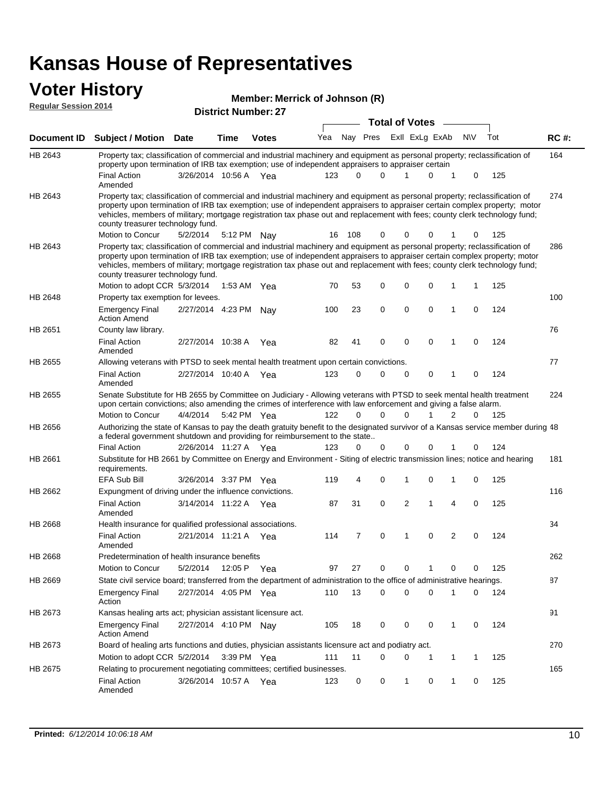#### **Voter History Regular Session**

| πιδισι γ<br><u>on 2014</u> | <b>District Number: 27</b> | Member: Merrick of Johnson (R) |
|----------------------------|----------------------------|--------------------------------|
|                            |                            | <b>Total of Votes</b>          |
|                            |                            |                                |

|         | Document ID Subject / Motion Date                                                                                                                                                                                                                                                                                                                                                                                             |                       | Time    | <b>Votes</b> | Yea |          | Nay Pres ExII ExLg ExAb |             |   |   | N\V         | Tot | <b>RC#:</b> |
|---------|-------------------------------------------------------------------------------------------------------------------------------------------------------------------------------------------------------------------------------------------------------------------------------------------------------------------------------------------------------------------------------------------------------------------------------|-----------------------|---------|--------------|-----|----------|-------------------------|-------------|---|---|-------------|-----|-------------|
| HB 2643 | Property tax; classification of commercial and industrial machinery and equipment as personal property; reclassification of<br>property upon termination of IRB tax exemption; use of independent appraisers to appraiser certain                                                                                                                                                                                             |                       |         |              |     |          |                         |             |   |   |             |     | 164         |
|         | <b>Final Action</b><br>Amended                                                                                                                                                                                                                                                                                                                                                                                                | 3/26/2014 10:56 A Yea |         |              | 123 | 0        | 0                       |             | 0 |   | 0           | 125 |             |
| HB 2643 | Property tax; classification of commercial and industrial machinery and equipment as personal property; reclassification of<br>property upon termination of IRB tax exemption; use of independent appraisers to appraiser certain complex property; motor<br>vehicles, members of military; mortgage registration tax phase out and replacement with fees; county clerk technology fund;<br>county treasurer technology fund. |                       |         |              |     |          |                         |             |   |   |             |     | 274         |
|         | Motion to Concur                                                                                                                                                                                                                                                                                                                                                                                                              | 5/2/2014              |         | 5:12 PM Nay  | 16  | 108      | 0                       | 0           | 0 |   | 0           | 125 |             |
| HB 2643 | Property tax; classification of commercial and industrial machinery and equipment as personal property; reclassification of<br>property upon termination of IRB tax exemption; use of independent appraisers to appraiser certain complex property; motor<br>vehicles, members of military; mortgage registration tax phase out and replacement with fees; county clerk technology fund;<br>county treasurer technology fund. |                       |         |              |     |          |                         |             |   |   |             |     | 286         |
|         | Motion to adopt CCR 5/3/2014                                                                                                                                                                                                                                                                                                                                                                                                  |                       |         | 1:53 AM Yea  | 70  | 53       | 0                       | 0           | 0 |   | 1           | 125 |             |
| HB 2648 | Property tax exemption for levees.                                                                                                                                                                                                                                                                                                                                                                                            |                       |         |              |     |          |                         |             |   |   |             |     | 100         |
|         | <b>Emergency Final</b><br><b>Action Amend</b>                                                                                                                                                                                                                                                                                                                                                                                 | 2/27/2014 4:23 PM Nay |         |              | 100 | 23       | $\mathbf 0$             | 0           | 0 | 1 | $\mathbf 0$ | 124 |             |
| HB 2651 | County law library.                                                                                                                                                                                                                                                                                                                                                                                                           |                       |         |              |     |          |                         |             |   |   |             |     | 76          |
|         | <b>Final Action</b><br>Amended                                                                                                                                                                                                                                                                                                                                                                                                | 2/27/2014 10:38 A     |         | Yea          | 82  | 41       | $\mathbf 0$             | $\mathbf 0$ | 0 | 1 | 0           | 124 |             |
| HB 2655 | Allowing veterans with PTSD to seek mental health treatment upon certain convictions.                                                                                                                                                                                                                                                                                                                                         |                       |         |              |     |          |                         |             |   |   |             |     | 77          |
|         | <b>Final Action</b><br>Amended                                                                                                                                                                                                                                                                                                                                                                                                | 2/27/2014 10:40 A     |         | Yea          | 123 | 0        | 0                       | 0           | 0 | 1 | 0           | 124 |             |
| HB 2655 | Senate Substitute for HB 2655 by Committee on Judiciary - Allowing veterans with PTSD to seek mental health treatment<br>upon certain convictions; also amending the crimes of interference with law enforcement and giving a false alarm.<br>Motion to Concur                                                                                                                                                                | 4/4/2014              |         | 5:42 PM Yea  | 122 | $\Omega$ | 0                       | $\Omega$    |   | 2 | $\Omega$    | 125 | 224         |
| HB 2656 | Authorizing the state of Kansas to pay the death gratuity benefit to the designated survivor of a Kansas service member during 48<br>a federal government shutdown and providing for reimbursement to the state                                                                                                                                                                                                               |                       |         |              |     |          |                         |             |   |   |             |     |             |
|         | <b>Final Action</b>                                                                                                                                                                                                                                                                                                                                                                                                           | 2/26/2014 11:27 A Yea |         |              | 123 | 0        | 0                       | 0           | 0 |   | 0           | 124 |             |
| HB 2661 | Substitute for HB 2661 by Committee on Energy and Environment - Siting of electric transmission lines; notice and hearing<br>requirements.                                                                                                                                                                                                                                                                                    |                       |         |              |     |          |                         |             |   |   |             |     | 181         |
|         | <b>EFA Sub Bill</b>                                                                                                                                                                                                                                                                                                                                                                                                           | 3/26/2014 3:37 PM Yea |         |              | 119 | 4        | 0                       | 1           | 0 | 1 | 0           | 125 |             |
| HB 2662 | Expungment of driving under the influence convictions.                                                                                                                                                                                                                                                                                                                                                                        |                       |         |              |     |          |                         |             |   |   |             |     | 116         |
|         | <b>Final Action</b><br>Amended                                                                                                                                                                                                                                                                                                                                                                                                | 3/14/2014 11:22 A     |         | Yea          | 87  | 31       | $\mathbf 0$             | 2           | 1 | 4 | $\mathbf 0$ | 125 |             |
| HB 2668 | Health insurance for qualified professional associations.                                                                                                                                                                                                                                                                                                                                                                     |                       |         |              |     |          |                         |             |   |   |             |     | 34          |
|         | <b>Final Action</b><br>Amended                                                                                                                                                                                                                                                                                                                                                                                                | 2/21/2014 11:21 A Yea |         |              | 114 | 7        | 0                       | 1           | 0 | 2 | 0           | 124 |             |
| HB 2668 | Predetermination of health insurance benefits                                                                                                                                                                                                                                                                                                                                                                                 |                       |         |              |     |          |                         |             |   |   |             |     | 262         |
|         | Motion to Concur                                                                                                                                                                                                                                                                                                                                                                                                              | 5/2/2014              | 12:05 P | Yea          | 97  | 27       | 0                       | 0           |   | 0 | 0           | 125 |             |
| HB 2669 | State civil service board; transferred from the department of administration to the office of administrative hearings.                                                                                                                                                                                                                                                                                                        |                       |         |              |     |          |                         |             |   |   |             |     | 87          |
|         | <b>Emergency Final</b><br>Action                                                                                                                                                                                                                                                                                                                                                                                              | 2/27/2014 4:05 PM Yea |         |              | 110 | 13       | 0                       | 0           | 0 |   | 0           | 124 |             |
| HB 2673 | Kansas healing arts act; physician assistant licensure act.                                                                                                                                                                                                                                                                                                                                                                   |                       |         |              |     |          |                         |             |   |   |             |     | 91          |
|         | <b>Emergency Final</b><br><b>Action Amend</b>                                                                                                                                                                                                                                                                                                                                                                                 | 2/27/2014 4:10 PM Nay |         |              | 105 | 18       | 0                       | 0           | 0 | 1 | 0           | 124 |             |
| HB 2673 | Board of healing arts functions and duties, physician assistants licensure act and podiatry act.                                                                                                                                                                                                                                                                                                                              |                       |         |              |     |          |                         |             |   |   |             |     | 270         |
|         | Motion to adopt CCR 5/2/2014                                                                                                                                                                                                                                                                                                                                                                                                  |                       |         | 3:39 PM Yea  | 111 | 11       | 0                       | 0           | 1 | 1 | 1           | 125 |             |
| HB 2675 | Relating to procurement negotiating committees; certified businesses.                                                                                                                                                                                                                                                                                                                                                         |                       |         |              |     |          |                         |             |   |   |             |     | 165         |
|         | <b>Final Action</b><br>Amended                                                                                                                                                                                                                                                                                                                                                                                                | 3/26/2014 10:57 A     |         | Yea          | 123 | 0        | 0                       | 1           | 0 | 1 | 0           | 125 |             |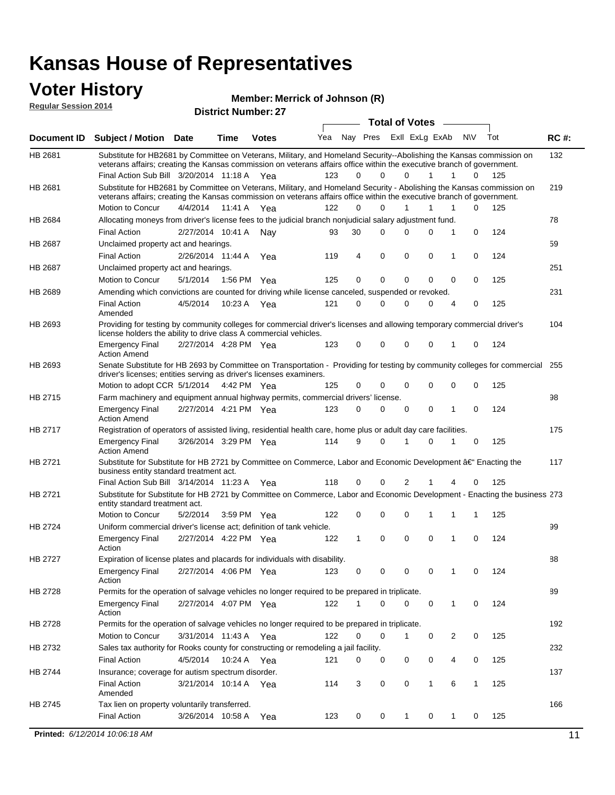### **Voter History Regular S**

| Member: Merrick of Johnson (R) |  |  |
|--------------------------------|--|--|
|--------------------------------|--|--|

|                     | <b>INIGHTIDEL: INIGHTICK OF</b> |
|---------------------|---------------------------------|
| <b>Session 2014</b> | <b>District Number: 27</b>      |
|                     |                                 |

|                |                                                                                                                                                                                                                                                 |                       |      |              |     | <b>Total of Votes</b> |                         |             |              |              |              |     |             |  |
|----------------|-------------------------------------------------------------------------------------------------------------------------------------------------------------------------------------------------------------------------------------------------|-----------------------|------|--------------|-----|-----------------------|-------------------------|-------------|--------------|--------------|--------------|-----|-------------|--|
|                | Document ID Subject / Motion Date                                                                                                                                                                                                               |                       | Time | <b>Votes</b> | Yea |                       | Nay Pres Exll ExLg ExAb |             |              |              | <b>NV</b>    | Tot | <b>RC#:</b> |  |
| HB 2681        | Substitute for HB2681 by Committee on Veterans, Military, and Homeland Security--Abolishing the Kansas commission on<br>veterans affairs; creating the Kansas commission on veterans affairs office within the executive branch of government.  |                       |      |              |     |                       |                         |             |              |              |              |     | 132         |  |
|                | Final Action Sub Bill 3/20/2014 11:18 A Yea                                                                                                                                                                                                     |                       |      |              | 123 | $\Omega$              | $\Omega$                | $\Omega$    | 1            | 1            | 0            | 125 |             |  |
| HB 2681        | Substitute for HB2681 by Committee on Veterans, Military, and Homeland Security - Abolishing the Kansas commission on<br>veterans affairs; creating the Kansas commission on veterans affairs office within the executive branch of government. |                       |      |              |     |                       |                         |             |              |              |              |     | 219         |  |
|                | Motion to Concur                                                                                                                                                                                                                                | 4/4/2014              |      | 11:41 A Yea  | 122 | 0                     | 0                       | 1           | 1            | 1            | 0            | 125 |             |  |
| <b>HB 2684</b> | Allocating moneys from driver's license fees to the judicial branch nonjudicial salary adjustment fund.                                                                                                                                         |                       |      |              |     |                       |                         |             |              |              |              |     | 78          |  |
|                | <b>Final Action</b>                                                                                                                                                                                                                             | 2/27/2014 10:41 A     |      | Nay          | 93  | 30                    | $\Omega$                | 0           | 0            | 1            | 0            | 124 |             |  |
| <b>HB 2687</b> | Unclaimed property act and hearings.                                                                                                                                                                                                            |                       |      |              |     |                       |                         |             |              |              |              |     | 59          |  |
|                | <b>Final Action</b>                                                                                                                                                                                                                             | 2/26/2014 11:44 A     |      | Yea          | 119 | $\overline{4}$        | 0                       | $\mathbf 0$ | 0            | $\mathbf{1}$ | $\mathbf 0$  | 124 |             |  |
| <b>HB 2687</b> | Unclaimed property act and hearings.                                                                                                                                                                                                            |                       |      |              |     |                       |                         |             |              |              |              |     | 251         |  |
|                | Motion to Concur                                                                                                                                                                                                                                | 5/1/2014              |      | 1:56 PM Yea  | 125 | 0                     | 0                       | 0           | 0            | 0            | $\Omega$     | 125 |             |  |
| <b>HB 2689</b> | Amending which convictions are counted for driving while license canceled, suspended or revoked.                                                                                                                                                |                       |      |              |     |                       |                         |             |              |              |              |     | 231         |  |
|                | <b>Final Action</b><br>Amended                                                                                                                                                                                                                  | 4/5/2014              |      | 10:23 A Yea  | 121 | 0                     | $\Omega$                | 0           | 0            | 4            | 0            | 125 |             |  |
| HB 2693        | Providing for testing by community colleges for commercial driver's licenses and allowing temporary commercial driver's<br>license holders the ability to drive class A commercial vehicles.                                                    |                       |      |              |     |                       |                         |             |              |              |              |     | 104         |  |
|                | <b>Emergency Final</b><br><b>Action Amend</b>                                                                                                                                                                                                   | 2/27/2014 4:28 PM Yea |      |              | 123 | 0                     | 0                       | 0           | 0            | 1            | 0            | 124 |             |  |
| HB 2693        | Senate Substitute for HB 2693 by Committee on Transportation - Providing for testing by community colleges for commercial 255                                                                                                                   |                       |      |              |     |                       |                         |             |              |              |              |     |             |  |
|                | driver's licenses; entities serving as driver's licenses examiners.<br>Motion to adopt CCR 5/1/2014 4:42 PM Yea                                                                                                                                 |                       |      |              | 125 | 0                     | 0                       | 0           | 0            | 0            | 0            | 125 |             |  |
| HB 2715        | Farm machinery and equipment annual highway permits, commercial drivers' license.                                                                                                                                                               |                       |      |              |     |                       |                         |             |              |              |              |     | 98          |  |
|                | <b>Emergency Final</b><br><b>Action Amend</b>                                                                                                                                                                                                   | 2/27/2014 4:21 PM Yea |      |              | 123 | $\Omega$              | $\Omega$                | 0           | 0            | 1            | $\Omega$     | 124 |             |  |
| HB 2717        | Registration of operators of assisted living, residential health care, home plus or adult day care facilities.                                                                                                                                  |                       |      |              |     |                       |                         |             |              |              |              |     | 175         |  |
|                | <b>Emergency Final</b><br><b>Action Amend</b>                                                                                                                                                                                                   | 3/26/2014 3:29 PM Yea |      |              | 114 | 9                     | $\Omega$                |             | 0            | 1            | 0            | 125 |             |  |
| HB 2721        | Substitute for Substitute for HB 2721 by Committee on Commerce, Labor and Economic Development †Enacting the<br>business entity standard treatment act.                                                                                         |                       |      |              |     |                       |                         |             |              |              |              |     | 117         |  |
|                | Final Action Sub Bill 3/14/2014 11:23 A Yea                                                                                                                                                                                                     |                       |      |              | 118 | 0                     | 0                       | 2           | 1            | 4            | 0            | 125 |             |  |
| HB 2721        | Substitute for Substitute for HB 2721 by Committee on Commerce, Labor and Economic Development - Enacting the business 273<br>entity standard treatment act.                                                                                    |                       |      |              |     |                       |                         |             |              |              |              |     |             |  |
|                | Motion to Concur                                                                                                                                                                                                                                | 5/2/2014              |      | 3:59 PM Yea  | 122 | 0                     | 0                       | 0           | 1            | 1            | $\mathbf{1}$ | 125 |             |  |
| HB 2724        | Uniform commercial driver's license act; definition of tank vehicle.                                                                                                                                                                            |                       |      |              |     |                       |                         |             |              |              |              |     | 99          |  |
|                | <b>Emergency Final</b><br>Action                                                                                                                                                                                                                | 2/27/2014 4:22 PM Yea |      |              | 122 | $\mathbf{1}$          | 0                       | $\Omega$    | $\mathbf{0}$ | 1            | 0            | 124 |             |  |
| <b>HB 2727</b> | Expiration of license plates and placards for individuals with disability.                                                                                                                                                                      |                       |      |              |     |                       |                         |             |              |              |              |     | 88          |  |
|                | <b>Emergency Final</b><br>Action                                                                                                                                                                                                                | 2/27/2014 4:06 PM Yea |      |              | 123 | 0                     | 0                       | 0           | 0            | 1            | 0            | 124 |             |  |
| HB 2728        | Permits for the operation of salvage vehicles no longer required to be prepared in triplicate.                                                                                                                                                  |                       |      |              |     |                       |                         |             |              |              |              |     | 89          |  |
|                | <b>Emergency Final</b><br>Action                                                                                                                                                                                                                | 2/27/2014 4:07 PM Yea |      |              | 122 | 1                     | 0                       | 0           | 0            | 1            | 0            | 124 |             |  |
| HB 2728        | Permits for the operation of salvage vehicles no longer required to be prepared in triplicate.                                                                                                                                                  |                       |      |              |     |                       |                         |             |              |              |              |     | 192         |  |
|                | Motion to Concur                                                                                                                                                                                                                                | 3/31/2014 11:43 A Yea |      |              | 122 | 0                     | 0                       | 1           | 0            | 2            | 0            | 125 |             |  |
| HB 2732        | Sales tax authority for Rooks county for constructing or remodeling a jail facility.                                                                                                                                                            |                       |      |              |     |                       |                         |             |              |              |              |     | 232         |  |
|                | <b>Final Action</b>                                                                                                                                                                                                                             | 4/5/2014              |      | 10:24 A Yea  | 121 | 0                     | 0                       | 0           | 0            | 4            | 0            | 125 |             |  |
| HB 2744        | Insurance; coverage for autism spectrum disorder.                                                                                                                                                                                               |                       |      |              |     |                       |                         |             |              |              |              |     | 137         |  |
|                | <b>Final Action</b>                                                                                                                                                                                                                             | 3/21/2014 10:14 A Yea |      |              | 114 | 3                     | 0                       | 0           | 1            | 6            | 1            | 125 |             |  |
|                | Amended                                                                                                                                                                                                                                         |                       |      |              |     |                       |                         |             |              |              |              |     |             |  |
| HB 2745        | Tax lien on property voluntarily transferred.                                                                                                                                                                                                   |                       |      |              |     |                       |                         |             |              |              |              |     | 166         |  |
|                | <b>Final Action</b>                                                                                                                                                                                                                             | 3/26/2014 10:58 A     |      | Yea          | 123 | 0                     | 0                       | 1           | 0            | 1            | 0            | 125 |             |  |
|                | Printed: 6/12/2014 10:06:18 AM                                                                                                                                                                                                                  |                       |      |              |     |                       |                         |             |              |              |              |     | 11          |  |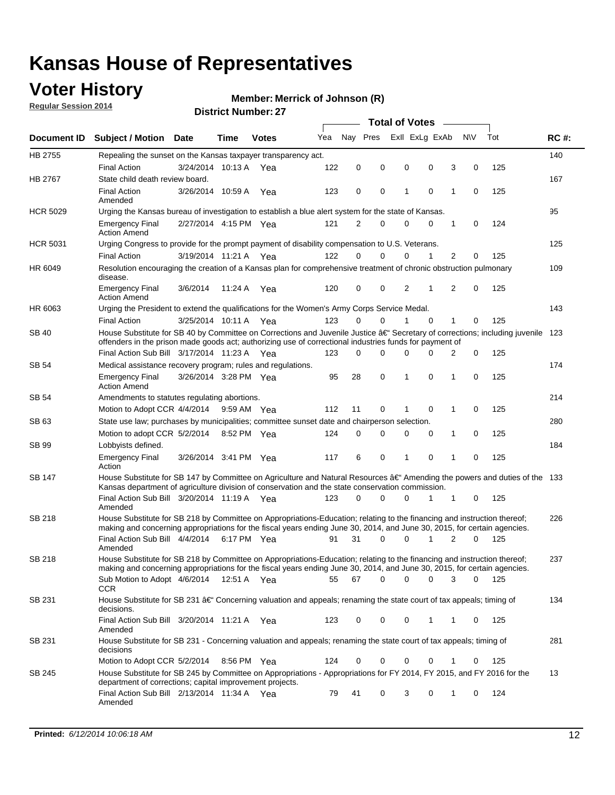## **Voter History**

**Regular Session 2014**

#### **Merrick of Johnson (R)**

|                    | <b>Total of Votes</b>                                                                                                                                                                                                                |                       |             |              |     |          |          |   |                |             |                |             |     |             |
|--------------------|--------------------------------------------------------------------------------------------------------------------------------------------------------------------------------------------------------------------------------------|-----------------------|-------------|--------------|-----|----------|----------|---|----------------|-------------|----------------|-------------|-----|-------------|
| <b>Document ID</b> | <b>Subject / Motion Date</b>                                                                                                                                                                                                         |                       | Time        | <b>Votes</b> | Yea | Nav Pres |          |   | Exll ExLg ExAb |             |                | <b>NV</b>   | Tot | <b>RC#:</b> |
| HB 2755            | Repealing the sunset on the Kansas taxpayer transparency act.                                                                                                                                                                        |                       |             |              |     |          |          |   |                |             |                |             |     | 140         |
|                    | <b>Final Action</b>                                                                                                                                                                                                                  | 3/24/2014 10:13 A     |             | Yea          | 122 | 0        | 0        | 0 |                | 0           | 3              | 0           | 125 |             |
| HB 2767            | State child death review board.                                                                                                                                                                                                      |                       |             |              |     |          |          |   |                |             |                |             |     | 167         |
|                    | <b>Final Action</b><br>Amended                                                                                                                                                                                                       | 3/26/2014 10:59 A     |             | Yea          | 123 | 0        | 0        | 1 |                | $\mathbf 0$ | 1              | 0           | 125 |             |
| <b>HCR 5029</b>    | Urging the Kansas bureau of investigation to establish a blue alert system for the state of Kansas.                                                                                                                                  |                       |             |              |     |          |          |   |                |             |                |             |     | 95          |
|                    | <b>Emergency Final</b><br><b>Action Amend</b>                                                                                                                                                                                        | 2/27/2014 4:15 PM Yea |             |              | 121 | 2        | 0        | 0 |                | 0           | 1              | 0           | 124 |             |
| <b>HCR 5031</b>    | Urging Congress to provide for the prompt payment of disability compensation to U.S. Veterans.                                                                                                                                       |                       |             |              |     |          |          |   |                |             |                |             |     | 125         |
|                    | <b>Final Action</b>                                                                                                                                                                                                                  | 3/19/2014 11:21 A Yea |             |              | 122 | $\Omega$ | $\Omega$ |   | 0              | 1           | 2              | 0           | 125 |             |
| HR 6049            | Resolution encouraging the creation of a Kansas plan for comprehensive treatment of chronic obstruction pulmonary<br>disease.                                                                                                        |                       |             |              |     |          |          |   |                |             |                |             |     | 109         |
|                    | <b>Emergency Final</b><br><b>Action Amend</b>                                                                                                                                                                                        | 3/6/2014              | 11:24 A     | Yea          | 120 | 0        | 0        |   | $\overline{2}$ | 1           | $\overline{2}$ | $\mathbf 0$ | 125 |             |
| HR 6063            | Urging the President to extend the qualifications for the Women's Army Corps Service Medal.                                                                                                                                          |                       |             |              |     |          |          |   |                |             |                |             |     | 143         |
|                    | <b>Final Action</b>                                                                                                                                                                                                                  | 3/25/2014 10:11 A Yea |             |              | 123 | $\Omega$ | $\Omega$ | 1 |                | $\Omega$    | 1              | 0           | 125 |             |
| SB 40              | House Substitute for SB 40 by Committee on Corrections and Juvenile Justice †Secretary of corrections; including juvenile<br>offenders in the prison made goods act; authorizing use of correctional industries funds for payment of |                       |             |              |     |          |          |   |                |             |                |             |     | 123         |
|                    | Final Action Sub Bill 3/17/2014 11:23 A Yea                                                                                                                                                                                          |                       |             |              | 123 | 0        | 0        | 0 |                | $\Omega$    | 2              | 0           | 125 |             |
| SB 54              | Medical assistance recovery program; rules and regulations.                                                                                                                                                                          |                       |             |              |     |          |          |   |                |             |                |             |     | 174         |
|                    | <b>Emergency Final</b><br><b>Action Amend</b>                                                                                                                                                                                        | 3/26/2014 3:28 PM Yea |             |              | 95  | 28       | 0        | 1 |                | 0           | 1              | 0           | 125 |             |
| SB 54              | Amendments to statutes regulating abortions.                                                                                                                                                                                         |                       |             |              |     |          |          |   |                |             |                |             |     | 214         |
|                    | Motion to Adopt CCR 4/4/2014                                                                                                                                                                                                         |                       | 9:59 AM Yea |              | 112 | 11       | 0        |   |                | $\mathbf 0$ | 1              | 0           | 125 |             |
| SB 63              | State use law; purchases by municipalities; committee sunset date and chairperson selection.                                                                                                                                         |                       |             |              |     |          |          |   |                |             |                |             |     | 280         |
|                    | Motion to adopt CCR 5/2/2014                                                                                                                                                                                                         |                       |             | 8:52 PM Yea  | 124 | 0        | 0        |   | 0              | 0           | 1              | 0           | 125 |             |
| SB 99              | Lobbyists defined.                                                                                                                                                                                                                   |                       |             |              |     |          |          |   |                |             |                |             |     | 184         |
|                    | <b>Emergency Final</b><br>Action                                                                                                                                                                                                     | 3/26/2014 3:41 PM Yea |             |              | 117 | 6        | 0        | 1 |                | 0           | 1              | 0           | 125 |             |
| SB 147             | House Substitute for SB 147 by Committee on Agriculture and Natural Resources †Amending the powers and duties of the 133<br>Kansas department of agriculture division of conservation and the state conservation commission.         |                       |             |              |     |          |          |   |                |             |                |             |     |             |
|                    | Final Action Sub Bill 3/20/2014 11:19 A Yea<br>Amended                                                                                                                                                                               |                       |             |              | 123 | 0        | $\Omega$ |   | 0              | 1           | 1              | 0           | 125 |             |
| <b>SB 218</b>      | House Substitute for SB 218 by Committee on Appropriations-Education; relating to the financing and instruction thereof;                                                                                                             |                       |             |              |     |          |          |   |                |             |                |             |     | 226         |
|                    | making and concerning appropriations for the fiscal years ending June 30, 2014, and June 30, 2015, for certain agencies.<br>Final Action Sub Bill 4/4/2014                                                                           |                       | 6:17 PM Yea |              | 91  | 31       | $\Omega$ |   | 0              | 1           | $\overline{2}$ | $\Omega$    | 125 |             |
|                    | Amended                                                                                                                                                                                                                              |                       |             |              |     |          |          |   |                |             |                |             |     |             |
| <b>SB 218</b>      | House Substitute for SB 218 by Committee on Appropriations-Education; relating to the financing and instruction thereof;                                                                                                             |                       |             |              |     |          |          |   |                |             |                |             |     | 237         |
|                    | making and concerning appropriations for the fiscal years ending June 30, 2014, and June 30, 2015, for certain agencies.                                                                                                             |                       |             |              |     |          |          |   |                |             |                |             |     |             |
|                    | Sub Motion to Adopt 4/6/2014 12:51 A Yea                                                                                                                                                                                             |                       |             |              | 55  | 67       | 0        |   | 0              | 0           | 3              | 0           | 125 |             |
| SB 231             | <b>CCR</b><br>House Substitute for SB 231 †Concerning valuation and appeals; renaming the state court of tax appeals; timing of<br>decisions.                                                                                        |                       |             |              |     |          |          |   |                |             |                |             |     | 134         |
|                    | Final Action Sub Bill 3/20/2014 11:21 A Yea                                                                                                                                                                                          |                       |             |              | 123 | 0        | 0        |   | 0              | 1           | 1              | 0           | 125 |             |
| SB 231             | Amended<br>House Substitute for SB 231 - Concerning valuation and appeals; renaming the state court of tax appeals; timing of<br>decisions                                                                                           |                       |             |              |     |          |          |   |                |             |                |             |     | 281         |
|                    | Motion to Adopt CCR 5/2/2014                                                                                                                                                                                                         |                       |             | 8:56 PM Yea  | 124 | 0        | 0        |   | 0              | 0           | 1              | 0           | 125 |             |
| SB 245             | House Substitute for SB 245 by Committee on Appropriations - Appropriations for FY 2014, FY 2015, and FY 2016 for the                                                                                                                |                       |             |              |     |          |          |   |                |             |                |             |     | 13          |
|                    | department of corrections; capital improvement projects.<br>Final Action Sub Bill 2/13/2014 11:34 A Yea                                                                                                                              |                       |             |              | 79  | 41       | 0        |   | 3              | 0           | 1              | 0           | 124 |             |
|                    | Amended                                                                                                                                                                                                                              |                       |             |              |     |          |          |   |                |             |                |             |     |             |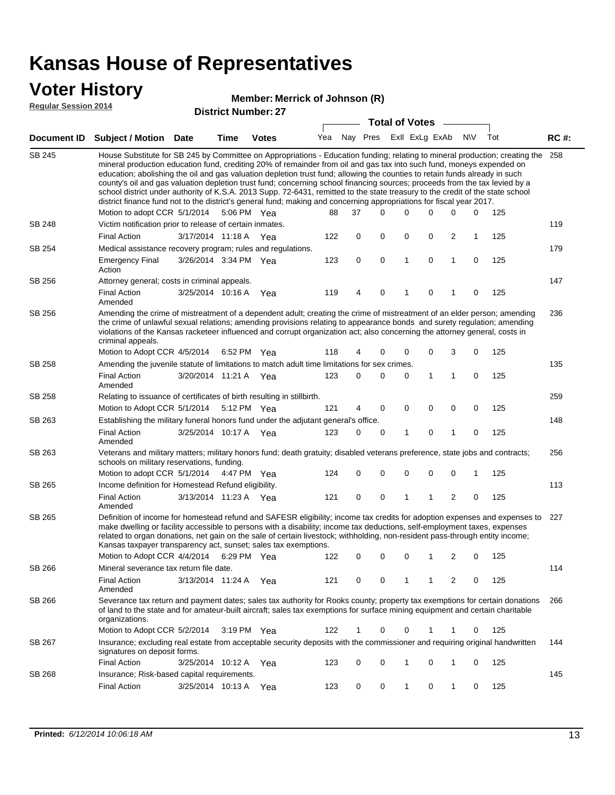### **Voter History**

#### **Merrick of Johnson (R)**

**Regular Session 2014**

|               |                                                                                                                                                                                                                                                                                                                                                                                                                                                                                                                                                                                                                                                                                                                                                                                                               |                       |                       | PISUIVLINUIIIDELLEI |     |    | <b>Total of Votes</b>   |             |   |              |             |     |             |
|---------------|---------------------------------------------------------------------------------------------------------------------------------------------------------------------------------------------------------------------------------------------------------------------------------------------------------------------------------------------------------------------------------------------------------------------------------------------------------------------------------------------------------------------------------------------------------------------------------------------------------------------------------------------------------------------------------------------------------------------------------------------------------------------------------------------------------------|-----------------------|-----------------------|---------------------|-----|----|-------------------------|-------------|---|--------------|-------------|-----|-------------|
|               | Document ID Subject / Motion Date                                                                                                                                                                                                                                                                                                                                                                                                                                                                                                                                                                                                                                                                                                                                                                             |                       | <b>Time</b>           | <b>Votes</b>        | Yea |    | Nay Pres Exll ExLg ExAb |             |   |              | <b>NV</b>   | Tot | <b>RC#:</b> |
| <b>SB 245</b> | House Substitute for SB 245 by Committee on Appropriations - Education funding; relating to mineral production; creating the<br>mineral production education fund, crediting 20% of remainder from oil and gas tax into such fund, moneys expended on<br>education; abolishing the oil and gas valuation depletion trust fund; allowing the counties to retain funds already in such<br>county's oil and gas valuation depletion trust fund; concerning school financing sources; proceeds from the tax levied by a<br>school district under authority of K.S.A. 2013 Supp. 72-6431, remitted to the state treasury to the credit of the state school<br>district finance fund not to the district's general fund; making and concerning appropriations for fiscal year 2017.<br>Motion to adopt CCR 5/1/2014 |                       | 5:06 PM Yea           |                     | 88  | 37 | 0                       | 0           | 0 | 0            | 0           | 125 | 258         |
| SB 248        | Victim notification prior to release of certain inmates.                                                                                                                                                                                                                                                                                                                                                                                                                                                                                                                                                                                                                                                                                                                                                      |                       |                       |                     |     |    |                         |             |   |              |             |     | 119         |
|               | <b>Final Action</b>                                                                                                                                                                                                                                                                                                                                                                                                                                                                                                                                                                                                                                                                                                                                                                                           | 3/17/2014 11:18 A     |                       | Yea                 | 122 | 0  | 0                       | 0           | 0 | 2            | 1           | 125 |             |
| SB 254        | Medical assistance recovery program; rules and regulations.                                                                                                                                                                                                                                                                                                                                                                                                                                                                                                                                                                                                                                                                                                                                                   |                       |                       |                     |     |    |                         |             |   |              |             |     | 179         |
|               | <b>Emergency Final</b><br>Action                                                                                                                                                                                                                                                                                                                                                                                                                                                                                                                                                                                                                                                                                                                                                                              | 3/26/2014 3:34 PM Yea |                       |                     | 123 | 0  | $\mathbf 0$             | 1           | 0 | 1            | $\mathbf 0$ | 125 |             |
| SB 256        | Attorney general; costs in criminal appeals.                                                                                                                                                                                                                                                                                                                                                                                                                                                                                                                                                                                                                                                                                                                                                                  |                       |                       |                     |     |    |                         |             |   |              |             |     | 147         |
|               | <b>Final Action</b><br>Amended                                                                                                                                                                                                                                                                                                                                                                                                                                                                                                                                                                                                                                                                                                                                                                                | 3/25/2014 10:16 A     |                       | Yea                 | 119 | 4  | 0                       | 1           | 0 | 1            | 0           | 125 |             |
| SB 256        | Amending the crime of mistreatment of a dependent adult; creating the crime of mistreatment of an elder person; amending<br>the crime of unlawful sexual relations; amending provisions relating to appearance bonds and surety regulation; amending<br>violations of the Kansas racketeer influenced and corrupt organization act; also concerning the attorney general, costs in<br>criminal appeals.                                                                                                                                                                                                                                                                                                                                                                                                       |                       |                       |                     |     |    |                         |             |   |              |             |     | 236         |
|               | Motion to Adopt CCR 4/5/2014                                                                                                                                                                                                                                                                                                                                                                                                                                                                                                                                                                                                                                                                                                                                                                                  |                       | 6:52 PM Yea           |                     | 118 | 4  | 0                       | 0           | 0 | 3            | 0           | 125 |             |
| SB 258        | Amending the juvenile statute of limitations to match adult time limitations for sex crimes.                                                                                                                                                                                                                                                                                                                                                                                                                                                                                                                                                                                                                                                                                                                  |                       |                       |                     |     |    |                         |             |   |              |             |     | 135         |
|               | <b>Final Action</b><br>Amended                                                                                                                                                                                                                                                                                                                                                                                                                                                                                                                                                                                                                                                                                                                                                                                | 3/20/2014 11:21 A Yea |                       |                     | 123 | 0  | 0                       | 0           | 1 | 1            | 0           | 125 |             |
| SB 258        | Relating to issuance of certificates of birth resulting in stillbirth.                                                                                                                                                                                                                                                                                                                                                                                                                                                                                                                                                                                                                                                                                                                                        |                       |                       |                     |     |    |                         |             |   |              |             |     | 259         |
|               | Motion to Adopt CCR 5/1/2014                                                                                                                                                                                                                                                                                                                                                                                                                                                                                                                                                                                                                                                                                                                                                                                  |                       | 5:12 PM Yea           |                     | 121 | 4  | 0                       | 0           | 0 | 0            | 0           | 125 |             |
| SB 263        | Establishing the military funeral honors fund under the adjutant general's office.                                                                                                                                                                                                                                                                                                                                                                                                                                                                                                                                                                                                                                                                                                                            |                       |                       |                     |     |    |                         |             |   |              |             |     | 148         |
|               | <b>Final Action</b><br>Amended                                                                                                                                                                                                                                                                                                                                                                                                                                                                                                                                                                                                                                                                                                                                                                                | 3/25/2014 10:17 A Yea |                       |                     | 123 | 0  | 0                       | 1           | 0 | $\mathbf{1}$ | 0           | 125 |             |
| SB 263        | Veterans and military matters; military honors fund; death gratuity; disabled veterans preference, state jobs and contracts;<br>schools on military reservations, funding.                                                                                                                                                                                                                                                                                                                                                                                                                                                                                                                                                                                                                                    |                       |                       |                     |     |    |                         |             |   |              |             |     | 256         |
|               | Motion to adopt CCR 5/1/2014 4:47 PM Yea                                                                                                                                                                                                                                                                                                                                                                                                                                                                                                                                                                                                                                                                                                                                                                      |                       |                       |                     | 124 | 0  | 0                       | $\mathbf 0$ | 0 | 0            | 1           | 125 |             |
| SB 265        | Income definition for Homestead Refund eligibility.                                                                                                                                                                                                                                                                                                                                                                                                                                                                                                                                                                                                                                                                                                                                                           |                       |                       |                     |     |    |                         |             |   |              |             |     | 113         |
|               | <b>Final Action</b><br>Amended                                                                                                                                                                                                                                                                                                                                                                                                                                                                                                                                                                                                                                                                                                                                                                                | 3/13/2014 11:23 A Yea |                       |                     | 121 | 0  | 0                       | 1           | 1 | 2            | 0           | 125 |             |
| SB 265        | Definition of income for homestead refund and SAFESR eligibility; income tax credits for adoption expenses and expenses to<br>make dwelling or facility accessible to persons with a disability; income tax deductions, self-employment taxes, expenses<br>related to organ donations, net gain on the sale of certain livestock; withholding, non-resident pass-through entity income;<br>Kansas taxpayer transparency act, sunset; sales tax exemptions.<br>Motion to Adopt CCR 4/4/2014                                                                                                                                                                                                                                                                                                                    |                       | 6:29 PM Yea           |                     | 122 | 0  | 0                       | 0           | 1 | 2            | 0           | 125 | 227         |
| SB 266        | Mineral severance tax return file date.                                                                                                                                                                                                                                                                                                                                                                                                                                                                                                                                                                                                                                                                                                                                                                       |                       |                       |                     |     |    |                         |             |   |              |             |     | 114         |
|               | <b>Final Action</b><br>Amended                                                                                                                                                                                                                                                                                                                                                                                                                                                                                                                                                                                                                                                                                                                                                                                | 3/13/2014 11:24 A     |                       | Yea                 | 121 | 0  | 0                       | 1           | 1 | 2            | 0           | 125 |             |
| SB 266        | Severance tax return and payment dates; sales tax authority for Rooks county; property tax exemptions for certain donations<br>of land to the state and for amateur-built aircraft; sales tax exemptions for surface mining equipment and certain charitable<br>organizations.                                                                                                                                                                                                                                                                                                                                                                                                                                                                                                                                |                       |                       |                     |     |    |                         |             |   |              |             |     | 266         |
|               | Motion to Adopt CCR 5/2/2014                                                                                                                                                                                                                                                                                                                                                                                                                                                                                                                                                                                                                                                                                                                                                                                  |                       | $3:19 \text{ PM}$ Yea |                     | 122 | 1  | 0                       | 0           | 1 | 1            | 0           | 125 |             |
| SB 267        | Insurance; excluding real estate from acceptable security deposits with the commissioner and requiring original handwritten<br>signatures on deposit forms.                                                                                                                                                                                                                                                                                                                                                                                                                                                                                                                                                                                                                                                   |                       |                       |                     |     |    |                         |             |   |              |             |     | 144         |
|               | <b>Final Action</b>                                                                                                                                                                                                                                                                                                                                                                                                                                                                                                                                                                                                                                                                                                                                                                                           | 3/25/2014 10:12 A     |                       | Yea                 | 123 | 0  | 0                       | 1           | 0 | $\mathbf{1}$ | 0           | 125 |             |
| SB 268        | Insurance; Risk-based capital requirements.                                                                                                                                                                                                                                                                                                                                                                                                                                                                                                                                                                                                                                                                                                                                                                   |                       |                       |                     |     |    |                         |             |   |              |             |     | 145         |
|               | <b>Final Action</b>                                                                                                                                                                                                                                                                                                                                                                                                                                                                                                                                                                                                                                                                                                                                                                                           | 3/25/2014 10:13 A     |                       | Yea                 | 123 | 0  | 0                       | 1           | 0 | $\mathbf{1}$ | 0           | 125 |             |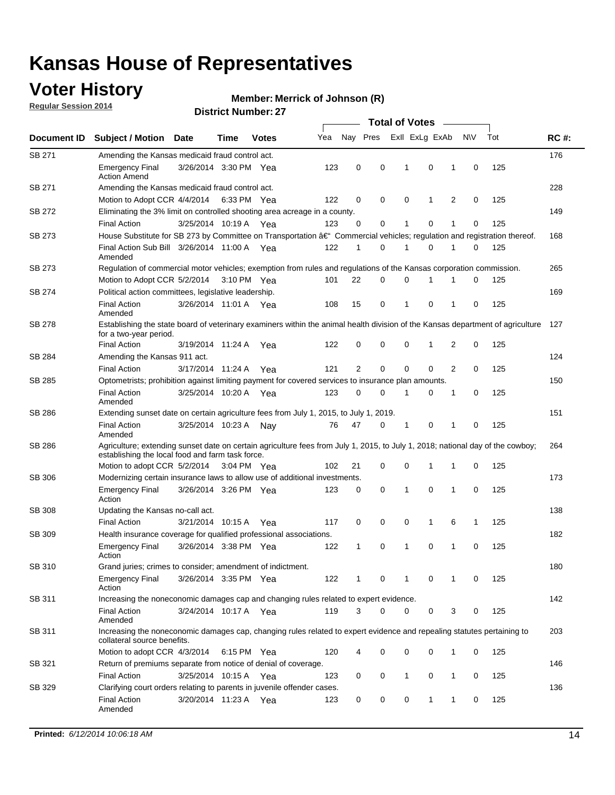## **Voter History**

**Regular Session 2014**

#### **Merrick of Johnson (R)**

|               |                                                                                                                                                                                    |                       |      |              |     | <b>Total of Votes</b> |          |              |                |   |             |     |             |  |
|---------------|------------------------------------------------------------------------------------------------------------------------------------------------------------------------------------|-----------------------|------|--------------|-----|-----------------------|----------|--------------|----------------|---|-------------|-----|-------------|--|
| Document ID   | <b>Subject / Motion</b>                                                                                                                                                            | Date                  | Time | <b>Votes</b> | Yea | Nay Pres              |          |              | Exll ExLg ExAb |   | <b>NV</b>   | Tot | <b>RC#:</b> |  |
| SB 271        | Amending the Kansas medicaid fraud control act.                                                                                                                                    |                       |      |              |     |                       |          |              |                |   |             |     | 176         |  |
|               | <b>Emergency Final</b><br><b>Action Amend</b>                                                                                                                                      | 3/26/2014 3:30 PM Yea |      |              | 123 | 0                     | 0        | 1            | 0              | 1 | $\mathbf 0$ | 125 |             |  |
| SB 271        | Amending the Kansas medicaid fraud control act.                                                                                                                                    |                       |      |              |     |                       |          |              |                |   |             |     | 228         |  |
|               | Motion to Adopt CCR 4/4/2014 6:33 PM Yea                                                                                                                                           |                       |      |              | 122 | 0                     | 0        | 0            | 1              | 2 | 0           | 125 |             |  |
| SB 272        | Eliminating the 3% limit on controlled shooting area acreage in a county.                                                                                                          |                       |      |              |     |                       |          |              |                |   |             |     | 149         |  |
|               | <b>Final Action</b>                                                                                                                                                                | 3/25/2014 10:19 A Yea |      |              | 123 | 0                     | 0        | 1            | 0              | 1 | $\mathbf 0$ | 125 |             |  |
| SB 273        | House Substitute for SB 273 by Committee on Transportation †Commercial vehicles; regulation and registration thereof.                                                              |                       |      |              |     |                       |          |              |                |   |             |     | 168         |  |
|               | Final Action Sub Bill 3/26/2014 11:00 A Yea<br>Amended                                                                                                                             |                       |      |              | 122 | 1                     | 0        | 1            | 0              | 1 | 0           | 125 |             |  |
| SB 273        | Regulation of commercial motor vehicles; exemption from rules and regulations of the Kansas corporation commission.                                                                |                       |      |              |     |                       |          |              |                |   |             |     | 265         |  |
|               | Motion to Adopt CCR 5/2/2014 3:10 PM Yea                                                                                                                                           |                       |      |              | 101 | 22                    | 0        | 0            | 1              | 1 | 0           | 125 |             |  |
| SB 274        | Political action committees, legislative leadership.                                                                                                                               |                       |      |              |     |                       |          |              |                |   |             |     | 169         |  |
|               | <b>Final Action</b><br>Amended                                                                                                                                                     | 3/26/2014 11:01 A Yea |      |              | 108 | 15                    | 0        | 1            | $\mathbf 0$    | 1 | $\mathbf 0$ | 125 |             |  |
| SB 278        | Establishing the state board of veterinary examiners within the animal health division of the Kansas department of agriculture<br>for a two-year period.                           |                       |      |              |     |                       |          |              |                |   |             |     | 127         |  |
|               | <b>Final Action</b>                                                                                                                                                                | 3/19/2014 11:24 A     |      | Yea          | 122 | 0                     | 0        | 0            | $\mathbf{1}$   | 2 | 0           | 125 |             |  |
| SB 284        | Amending the Kansas 911 act.                                                                                                                                                       |                       |      |              |     |                       |          |              |                |   |             |     | 124         |  |
|               | <b>Final Action</b>                                                                                                                                                                | 3/17/2014 11:24 A     |      | Yea          | 121 | $\overline{2}$        | 0        | $\mathbf 0$  | $\mathbf 0$    | 2 | 0           | 125 |             |  |
| SB 285        | Optometrists; prohibition against limiting payment for covered services to insurance plan amounts.                                                                                 |                       |      |              |     |                       |          |              |                |   |             |     | 150         |  |
|               | <b>Final Action</b><br>Amended                                                                                                                                                     | 3/25/2014 10:20 A     |      | Yea          | 123 | 0                     | 0        | 1            | 0              | 1 | $\mathbf 0$ | 125 |             |  |
| SB 286        | Extending sunset date on certain agriculture fees from July 1, 2015, to July 1, 2019.                                                                                              |                       |      |              |     |                       |          |              |                |   |             |     | 151         |  |
|               | <b>Final Action</b><br>Amended                                                                                                                                                     | 3/25/2014 10:23 A     |      | Nav          | 76  | 47                    | 0        | 1            | 0              | 1 | $\mathbf 0$ | 125 |             |  |
| SB 286        | Agriculture; extending sunset date on certain agriculture fees from July 1, 2015, to July 1, 2018; national day of the cowboy;<br>establishing the local food and farm task force. |                       |      |              |     |                       |          |              |                |   |             |     | 264         |  |
|               | Motion to adopt CCR 5/2/2014 3:04 PM Yea                                                                                                                                           |                       |      |              | 102 | 21                    | 0        | $\mathbf 0$  | 1              | 1 | 0           | 125 |             |  |
| SB 306        | Modernizing certain insurance laws to allow use of additional investments.                                                                                                         |                       |      |              |     |                       |          |              |                |   |             |     | 173         |  |
|               | <b>Emergency Final</b><br>Action                                                                                                                                                   | 3/26/2014 3:26 PM Yea |      |              | 123 | 0                     | 0        | 1            | 0              | 1 | $\mathbf 0$ | 125 |             |  |
| <b>SB 308</b> | Updating the Kansas no-call act.                                                                                                                                                   |                       |      |              |     |                       |          |              |                |   |             |     | 138         |  |
|               | <b>Final Action</b>                                                                                                                                                                | 3/21/2014 10:15 A     |      | Yea          | 117 | 0                     | 0        | 0            | $\mathbf{1}$   | 6 | 1           | 125 |             |  |
| SB 309        | Health insurance coverage for qualified professional associations.                                                                                                                 |                       |      |              |     |                       |          |              |                |   |             |     | 182         |  |
|               | <b>Emergency Final</b><br>Action                                                                                                                                                   | 3/26/2014 3:38 PM Yea |      |              | 122 | 1                     | 0        | 1            | 0              | 1 | $\mathbf 0$ | 125 |             |  |
| SB 310        | Grand juries; crimes to consider; amendment of indictment.                                                                                                                         |                       |      |              |     |                       |          |              |                |   |             |     | 180         |  |
|               | <b>Emergency Final</b><br>Action                                                                                                                                                   | 3/26/2014 3:35 PM Yea |      |              | 122 | 1                     | 0        | 1            | 0              | 1 | 0           | 125 |             |  |
| SB 311        | Increasing the noneconomic damages cap and changing rules related to expert evidence.                                                                                              |                       |      |              |     |                       |          |              |                |   |             |     | 142         |  |
|               | <b>Final Action</b><br>Amended                                                                                                                                                     | 3/24/2014 10:17 A Yea |      |              | 119 | 3                     | $\Omega$ | 0            | 0              | 3 | 0           | 125 |             |  |
| SB 311        | Increasing the noneconomic damages cap, changing rules related to expert evidence and repealing statutes pertaining to<br>collateral source benefits.                              |                       |      |              |     |                       |          |              |                |   |             |     | 203         |  |
|               | Motion to adopt CCR 4/3/2014 6:15 PM Yea                                                                                                                                           |                       |      |              | 120 |                       | 0        | 0            | 0              | 1 | 0           | 125 |             |  |
| SB 321        | Return of premiums separate from notice of denial of coverage.                                                                                                                     |                       |      |              |     |                       |          |              |                |   |             |     | 146         |  |
|               | <b>Final Action</b>                                                                                                                                                                | 3/25/2014 10:15 A Yea |      |              | 123 | 0                     | 0        | $\mathbf{1}$ | 0              | 1 | 0           | 125 |             |  |
| SB 329        | Clarifying court orders relating to parents in juvenile offender cases.<br><b>Final Action</b><br>Amended                                                                          | 3/20/2014 11:23 A Yea |      |              | 123 | 0                     | 0        | 0            | $\mathbf{1}$   | 1 | 0           | 125 | 136         |  |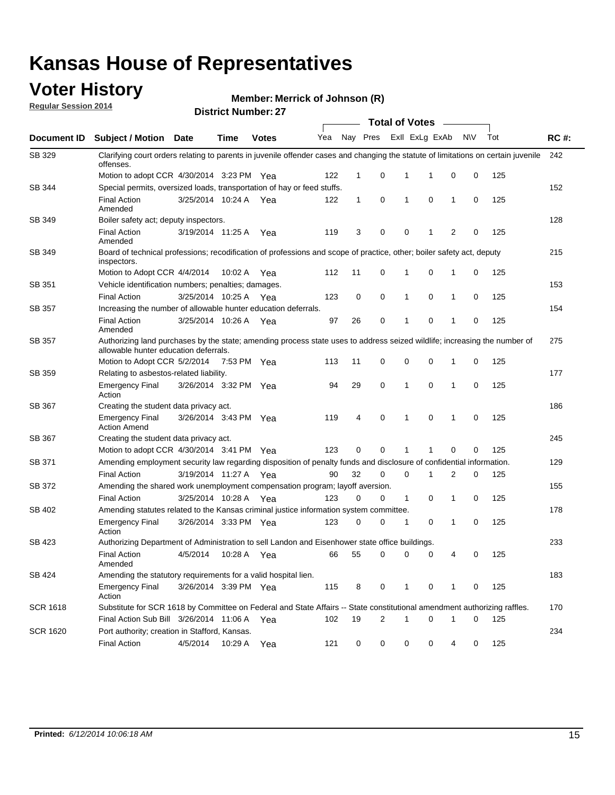### **Voter History**

**Regular Session 2014**

#### **Merrick of Johnson (R)**

|                 |                                                                                                                                                                    |                       |             |              |     |              |                | <b>Total of Votes</b>   |             |              |           |     |             |
|-----------------|--------------------------------------------------------------------------------------------------------------------------------------------------------------------|-----------------------|-------------|--------------|-----|--------------|----------------|-------------------------|-------------|--------------|-----------|-----|-------------|
| Document ID     | <b>Subject / Motion Date</b>                                                                                                                                       |                       | Time        | <b>Votes</b> | Yea |              |                | Nay Pres ExII ExLg ExAb |             |              | <b>NV</b> | Tot | <b>RC#:</b> |
| SB 329          | Clarifying court orders relating to parents in juvenile offender cases and changing the statute of limitations on certain juvenile<br>offenses.                    |                       |             |              |     |              |                |                         |             |              |           |     | 242         |
|                 | Motion to adopt CCR 4/30/2014 3:23 PM Yea                                                                                                                          |                       |             |              | 122 | $\mathbf 1$  | 0              | 1                       | -1          | $\mathbf 0$  | 0         | 125 |             |
| SB 344          | Special permits, oversized loads, transportation of hay or feed stuffs.                                                                                            |                       |             |              |     |              |                |                         |             |              |           |     | 152         |
|                 | <b>Final Action</b><br>Amended                                                                                                                                     | 3/25/2014 10:24 A     |             | Yea          | 122 | $\mathbf{1}$ | 0              | 1                       | $\mathbf 0$ | $\mathbf{1}$ | 0         | 125 |             |
| SB 349          | Boiler safety act; deputy inspectors.                                                                                                                              |                       |             |              |     |              |                |                         |             |              |           |     | 128         |
|                 | <b>Final Action</b><br>Amended                                                                                                                                     | 3/19/2014 11:25 A     |             | Yea          | 119 | 3            | 0              | 0                       | 1           | 2            | 0         | 125 |             |
| <b>SB 349</b>   | Board of technical professions; recodification of professions and scope of practice, other; boiler safety act, deputy<br>inspectors.                               |                       |             |              |     |              |                |                         |             |              |           |     | 215         |
|                 | Motion to Adopt CCR 4/4/2014                                                                                                                                       |                       | 10:02 A     | Yea          | 112 | 11           | 0              | 1                       | 0           | 1            | 0         | 125 |             |
| SB 351          | Vehicle identification numbers; penalties; damages.                                                                                                                |                       |             |              |     |              |                |                         |             |              |           |     | 153         |
|                 | <b>Final Action</b>                                                                                                                                                | 3/25/2014 10:25 A     |             | Yea          | 123 | 0            | 0              | 1                       | 0           | 1            | 0         | 125 |             |
| <b>SB 357</b>   | Increasing the number of allowable hunter education deferrals.                                                                                                     |                       |             |              |     |              |                |                         |             |              |           |     | 154         |
|                 | <b>Final Action</b><br>Amended                                                                                                                                     | 3/25/2014 10:26 A     |             | Yea          | 97  | 26           | 0              | 1                       | 0           | 1            | 0         | 125 |             |
| SB 357          | Authorizing land purchases by the state; amending process state uses to address seized wildlife; increasing the number of<br>allowable hunter education deferrals. |                       |             |              |     |              |                |                         |             |              |           |     | 275         |
|                 | Motion to Adopt CCR 5/2/2014                                                                                                                                       |                       | 7:53 PM Yea |              | 113 | 11           | 0              | 0                       | 0           | 1            | 0         | 125 |             |
| SB 359          | Relating to asbestos-related liability.                                                                                                                            |                       |             |              |     |              |                |                         |             |              |           |     | 177         |
|                 | <b>Emergency Final</b><br>Action                                                                                                                                   | 3/26/2014 3:32 PM Yea |             |              | 94  | 29           | 0              | 1                       | 0           | 1            | 0         | 125 |             |
| SB 367          | Creating the student data privacy act.                                                                                                                             |                       |             |              |     |              |                |                         |             |              |           |     | 186         |
|                 | <b>Emergency Final</b><br><b>Action Amend</b>                                                                                                                      | 3/26/2014 3:43 PM Yea |             |              | 119 | 4            | 0              | 1                       | 0           | 1            | 0         | 125 |             |
| <b>SB 367</b>   | Creating the student data privacy act.                                                                                                                             |                       |             |              |     |              |                |                         |             |              |           |     | 245         |
|                 | Motion to adopt CCR 4/30/2014 3:41 PM Yea                                                                                                                          |                       |             |              | 123 | 0            | 0              | 1                       | 1           | 0            | 0         | 125 |             |
| SB 371          | Amending employment security law regarding disposition of penalty funds and disclosure of confidential information.                                                |                       |             |              |     |              |                |                         |             |              |           |     | 129         |
|                 | <b>Final Action</b>                                                                                                                                                | 3/19/2014 11:27 A Yea |             |              | 90  | 32           | 0              | $\mathbf 0$             | 1           | 2            | 0         | 125 |             |
| SB 372          | Amending the shared work unemployment compensation program; layoff aversion.                                                                                       |                       |             |              |     |              |                |                         |             |              |           |     | 155         |
|                 | <b>Final Action</b>                                                                                                                                                | 3/25/2014 10:28 A     |             | Yea          | 123 | 0            | 0              | $\mathbf{1}$            | 0           | 1            | 0         | 125 |             |
| SB 402          | Amending statutes related to the Kansas criminal justice information system committee.                                                                             |                       |             |              |     |              |                |                         |             |              |           |     | 178         |
|                 | <b>Emergency Final</b><br>Action                                                                                                                                   | 3/26/2014 3:33 PM Yea |             |              | 123 | 0            | 0              | 1                       | 0           | 1            | 0         | 125 |             |
| SB 423          | Authorizing Department of Administration to sell Landon and Eisenhower state office buildings.                                                                     |                       |             |              |     |              |                |                         |             |              |           |     | 233         |
|                 | <b>Final Action</b><br>Amended                                                                                                                                     | 4/5/2014              | 10:28 A     | Yea          | 66  | 55           | 0              | 0                       | 0           | 4            | 0         | 125 |             |
| SB 424          | Amending the statutory requirements for a valid hospital lien.                                                                                                     |                       |             |              |     |              |                |                         |             |              |           |     | 183         |
|                 | <b>Emergency Final</b><br>Action                                                                                                                                   | 3/26/2014 3:39 PM Yea |             |              | 115 | 8            | 0              | 1                       | 0           | 1            | 0         | 125 |             |
| <b>SCR 1618</b> | Substitute for SCR 1618 by Committee on Federal and State Affairs -- State constitutional amendment authorizing raffles.                                           |                       |             |              |     |              |                |                         |             |              |           |     | 170         |
|                 | Final Action Sub Bill 3/26/2014 11:06 A Yea                                                                                                                        |                       |             |              | 102 | 19           | $\overline{2}$ | 1                       | 0           | 1            | 0         | 125 |             |
| <b>SCR 1620</b> | Port authority; creation in Stafford, Kansas.                                                                                                                      |                       |             |              |     |              |                |                         |             |              |           |     | 234         |
|                 | <b>Final Action</b>                                                                                                                                                | 4/5/2014              | 10:29 A Yea |              | 121 | 0            | 0              | 0                       | 0           | 4            | 0         | 125 |             |